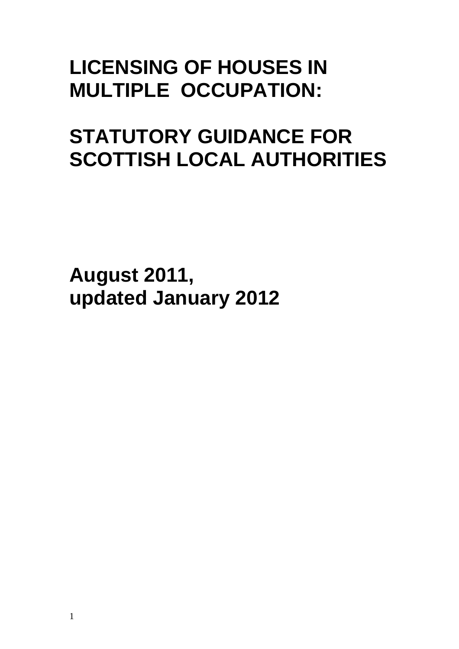# **LICENSING OF HOUSES IN MULTIPLE OCCUPATION:**

# **STATUTORY GUIDANCE FOR SCOTTISH LOCAL AUTHORITIES**

**August 2011, updated January 2012**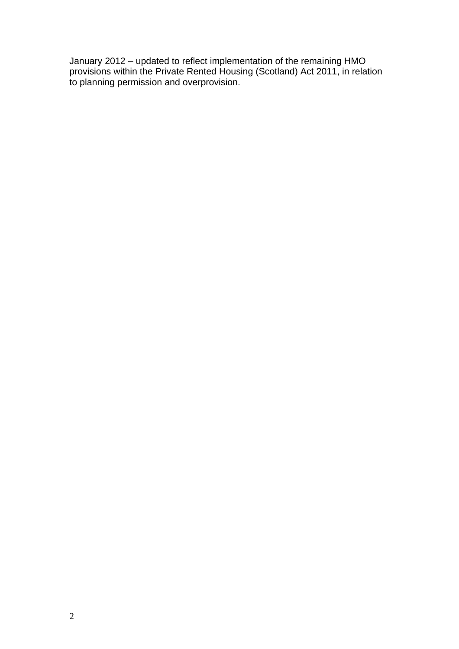January 2012 – updated to reflect implementation of the remaining HMO provisions within the Private Rented Housing (Scotland) Act 2011, in relation to planning permission and overprovision.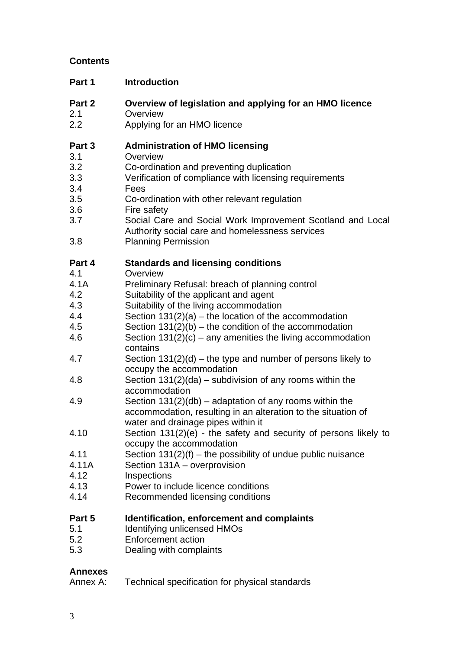# **Contents**

| Part 1        | <b>Introduction</b>                                                                                                                                              |
|---------------|------------------------------------------------------------------------------------------------------------------------------------------------------------------|
| Part 2<br>2.1 | Overview of legislation and applying for an HMO licence<br>Overview                                                                                              |
| 2.2           | Applying for an HMO licence                                                                                                                                      |
| Part 3        | <b>Administration of HMO licensing</b><br>Overview                                                                                                               |
| 3.1           |                                                                                                                                                                  |
| 3.2           | Co-ordination and preventing duplication                                                                                                                         |
| 3.3           | Verification of compliance with licensing requirements                                                                                                           |
| 3.4<br>3.5    | Fees                                                                                                                                                             |
| 3.6           | Co-ordination with other relevant regulation<br>Fire safety                                                                                                      |
| 3.7           | Social Care and Social Work Improvement Scotland and Local<br>Authority social care and homelessness services                                                    |
| 3.8           | <b>Planning Permission</b>                                                                                                                                       |
| Part 4        | <b>Standards and licensing conditions</b>                                                                                                                        |
| 4.1           | Overview                                                                                                                                                         |
| 4.1A          | Preliminary Refusal: breach of planning control                                                                                                                  |
| 4.2           | Suitability of the applicant and agent                                                                                                                           |
| 4.3           | Suitability of the living accommodation                                                                                                                          |
| 4.4           | Section $131(2)(a)$ – the location of the accommodation                                                                                                          |
| 4.5           | Section $131(2)(b)$ – the condition of the accommodation                                                                                                         |
| 4.6           | Section $131(2)(c)$ – any amenities the living accommodation<br>contains                                                                                         |
| 4.7           | Section $131(2)(d)$ – the type and number of persons likely to<br>occupy the accommodation                                                                       |
| 4.8           | Section $131(2)(da)$ – subdivision of any rooms within the<br>accommodation                                                                                      |
| 4.9           | Section $131(2)(db)$ – adaptation of any rooms within the<br>accommodation, resulting in an alteration to the situation of<br>water and drainage pipes within it |
| 4.10          | Section 131(2)(e) - the safety and security of persons likely to<br>occupy the accommodation                                                                     |
| 4.11          | Section $131(2)(f)$ – the possibility of undue public nuisance                                                                                                   |
| 4.11A         | Section 131A - overprovision                                                                                                                                     |
| 4.12          | Inspections                                                                                                                                                      |
| 4.13          | Power to include licence conditions                                                                                                                              |
| 4.14          | Recommended licensing conditions                                                                                                                                 |
| Part 5        | Identification, enforcement and complaints                                                                                                                       |
| 5.1           | <b>Identifying unlicensed HMOs</b>                                                                                                                               |
| 5.2           | <b>Enforcement action</b>                                                                                                                                        |

5.3 Dealing with complaints

# **Annexes**

Technical specification for physical standards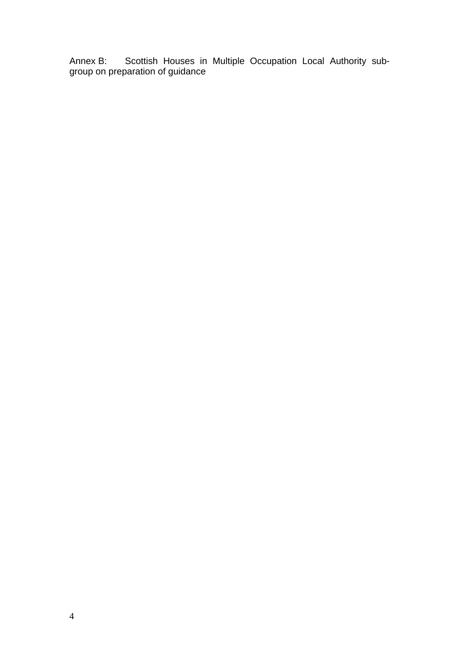Annex B: Scottish Houses in Multiple Occupation Local Authority subgroup on preparation of guidance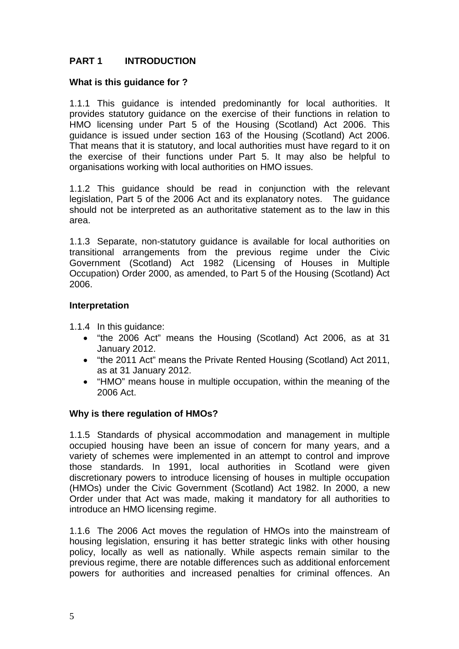# **PART 1 INTRODUCTION**

#### **What is this guidance for ?**

1.1.1 This guidance is intended predominantly for local authorities. It provides statutory guidance on the exercise of their functions in relation to HMO licensing under Part 5 of the Housing (Scotland) Act 2006. This guidance is issued under section 163 of the Housing (Scotland) Act 2006. That means that it is statutory, and local authorities must have regard to it on the exercise of their functions under Part 5. It may also be helpful to organisations working with local authorities on HMO issues.

1.1.2 This guidance should be read in conjunction with the relevant legislation, Part 5 of the 2006 Act and its explanatory notes. The guidance should not be interpreted as an authoritative statement as to the law in this area.

1.1.3 Separate, non-statutory guidance is available for local authorities on transitional arrangements from the previous regime under the Civic Government (Scotland) Act 1982 (Licensing of Houses in Multiple Occupation) Order 2000, as amended, to Part 5 of the Housing (Scotland) Act 2006.

#### **Interpretation**

1.1.4 In this guidance:

- "the 2006 Act" means the Housing (Scotland) Act 2006, as at 31 January 2012.
- "the 2011 Act" means the Private Rented Housing (Scotland) Act 2011, as at 31 January 2012.
- "HMO" means house in multiple occupation, within the meaning of the 2006 Act.

#### **Why is there regulation of HMOs?**

1.1.5 Standards of physical accommodation and management in multiple occupied housing have been an issue of concern for many years, and a variety of schemes were implemented in an attempt to control and improve those standards. In 1991, local authorities in Scotland were given discretionary powers to introduce licensing of houses in multiple occupation (HMOs) under the Civic Government (Scotland) Act 1982. In 2000, a new Order under that Act was made, making it mandatory for all authorities to introduce an HMO licensing regime.

1.1.6 The 2006 Act moves the regulation of HMOs into the mainstream of housing legislation, ensuring it has better strategic links with other housing policy, locally as well as nationally. While aspects remain similar to the previous regime, there are notable differences such as additional enforcement powers for authorities and increased penalties for criminal offences. An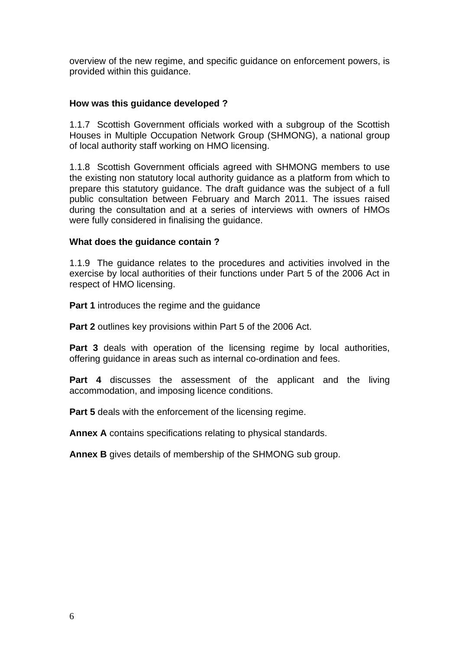overview of the new regime, and specific guidance on enforcement powers, is provided within this guidance.

#### **How was this guidance developed ?**

1.1.7 Scottish Government officials worked with a subgroup of the Scottish Houses in Multiple Occupation Network Group (SHMONG), a national group of local authority staff working on HMO licensing.

1.1.8 Scottish Government officials agreed with SHMONG members to use the existing non statutory local authority guidance as a platform from which to prepare this statutory guidance. The draft guidance was the subject of a full public consultation between February and March 2011. The issues raised during the consultation and at a series of interviews with owners of HMOs were fully considered in finalising the guidance.

#### **What does the guidance contain ?**

1.1.9 The guidance relates to the procedures and activities involved in the exercise by local authorities of their functions under Part 5 of the 2006 Act in respect of HMO licensing.

**Part 1** introduces the regime and the guidance

**Part 2** outlines key provisions within Part 5 of the 2006 Act.

**Part 3** deals with operation of the licensing regime by local authorities, offering guidance in areas such as internal co-ordination and fees.

**Part 4** discusses the assessment of the applicant and the living accommodation, and imposing licence conditions.

**Part 5** deals with the enforcement of the licensing regime.

**Annex A** contains specifications relating to physical standards.

**Annex B** gives details of membership of the SHMONG sub group.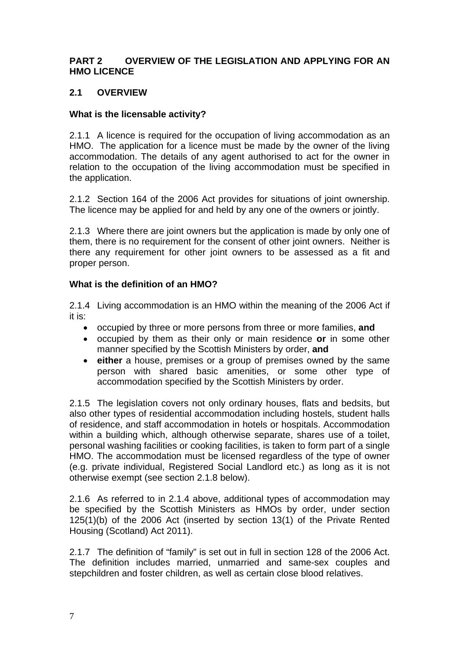#### **PART 2 OVERVIEW OF THE LEGISLATION AND APPLYING FOR AN HMO LICENCE**

## **2.1 OVERVIEW**

#### **What is the licensable activity?**

2.1.1 A licence is required for the occupation of living accommodation as an HMO. The application for a licence must be made by the owner of the living accommodation. The details of any agent authorised to act for the owner in relation to the occupation of the living accommodation must be specified in the application.

2.1.2 Section 164 of the 2006 Act provides for situations of joint ownership. The licence may be applied for and held by any one of the owners or jointly.

2.1.3 Where there are joint owners but the application is made by only one of them, there is no requirement for the consent of other joint owners. Neither is there any requirement for other joint owners to be assessed as a fit and proper person.

#### **What is the definition of an HMO?**

2.1.4 Living accommodation is an HMO within the meaning of the 2006 Act if it is:

- occupied by three or more persons from three or more families, **and**
- occupied by them as their only or main residence **or** in some other manner specified by the Scottish Ministers by order, **and**
- **either** a house, premises or a group of premises owned by the same person with shared basic amenities, or some other type of accommodation specified by the Scottish Ministers by order.

2.1.5 The legislation covers not only ordinary houses, flats and bedsits, but also other types of residential accommodation including hostels, student halls of residence, and staff accommodation in hotels or hospitals. Accommodation within a building which, although otherwise separate, shares use of a toilet, personal washing facilities or cooking facilities, is taken to form part of a single HMO. The accommodation must be licensed regardless of the type of owner (e.g. private individual, Registered Social Landlord etc.) as long as it is not otherwise exempt (see section 2.1.8 below).

2.1.6 As referred to in 2.1.4 above, additional types of accommodation may be specified by the Scottish Ministers as HMOs by order, under section 125(1)(b) of the 2006 Act (inserted by section 13(1) of the Private Rented Housing (Scotland) Act 2011).

2.1.7 The definition of "family" is set out in full in section 128 of the 2006 Act. The definition includes married, unmarried and same-sex couples and stepchildren and foster children, as well as certain close blood relatives.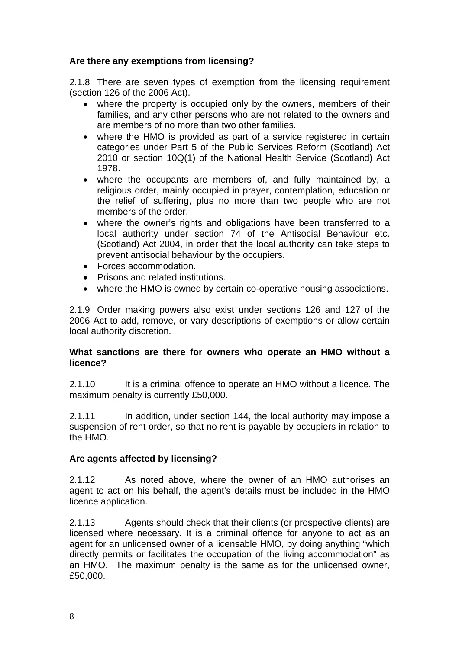## **Are there any exemptions from licensing?**

2.1.8 There are seven types of exemption from the licensing requirement (section 126 of the 2006 Act).

- where the property is occupied only by the owners, members of their families, and any other persons who are not related to the owners and are members of no more than two other families.
- where the HMO is provided as part of a service registered in certain categories under Part 5 of the Public Services Reform (Scotland) Act 2010 or section 10Q(1) of the National Health Service (Scotland) Act 1978.
- where the occupants are members of, and fully maintained by, a religious order, mainly occupied in prayer, contemplation, education or the relief of suffering, plus no more than two people who are not members of the order.
- where the owner's rights and obligations have been transferred to a local authority under section 74 of the Antisocial Behaviour etc. (Scotland) Act 2004, in order that the local authority can take steps to prevent antisocial behaviour by the occupiers.
- Forces accommodation.
- Prisons and related institutions.
- where the HMO is owned by certain co-operative housing associations.

2.1.9 Order making powers also exist under sections 126 and 127 of the 2006 Act to add, remove, or vary descriptions of exemptions or allow certain local authority discretion.

#### **What sanctions are there for owners who operate an HMO without a licence?**

2.1.10 It is a criminal offence to operate an HMO without a licence. The maximum penalty is currently £50,000.

2.1.11 In addition, under section 144, the local authority may impose a suspension of rent order, so that no rent is payable by occupiers in relation to the HMO.

#### **Are agents affected by licensing?**

2.1.12 As noted above, where the owner of an HMO authorises an agent to act on his behalf, the agent's details must be included in the HMO licence application.

2.1.13 Agents should check that their clients (or prospective clients) are licensed where necessary. It is a criminal offence for anyone to act as an agent for an unlicensed owner of a licensable HMO, by doing anything "which directly permits or facilitates the occupation of the living accommodation" as an HMO. The maximum penalty is the same as for the unlicensed owner, £50,000.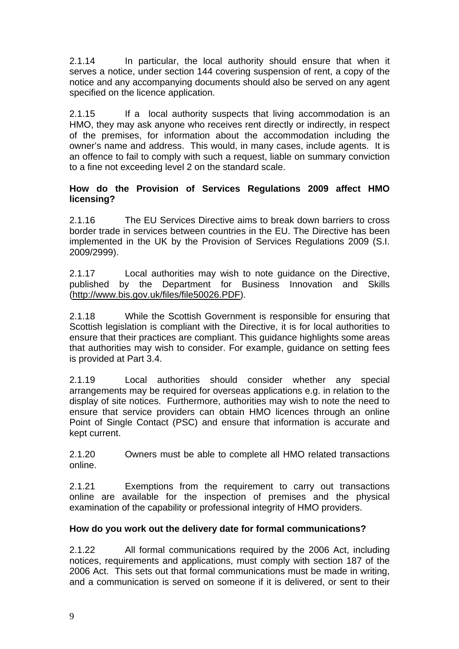2.1.14 In particular, the local authority should ensure that when it serves a notice, under section 144 covering suspension of rent, a copy of the notice and any accompanying documents should also be served on any agent specified on the licence application.

2.1.15 If a local authority suspects that living accommodation is an HMO, they may ask anyone who receives rent directly or indirectly, in respect of the premises, for information about the accommodation including the owner's name and address. This would, in many cases, include agents. It is an offence to fail to comply with such a request, liable on summary conviction to a fine not exceeding level 2 on the standard scale.

## **How do the Provision of Services Regulations 2009 affect HMO licensing?**

2.1.16 The EU Services Directive aims to break down barriers to cross border trade in services between countries in the EU. The Directive has been implemented in the UK by the Provision of Services Regulations 2009 (S.I. 2009/2999).

2.1.17 Local authorities may wish to note guidance on the Directive, published by the Department for Business Innovation and Skills (http://www.bis.gov.uk/files/file50026.PDF).

2.1.18 While the Scottish Government is responsible for ensuring that Scottish legislation is compliant with the Directive, it is for local authorities to ensure that their practices are compliant. This guidance highlights some areas that authorities may wish to consider. For example, guidance on setting fees is provided at Part 3.4.

2.1.19 Local authorities should consider whether any special arrangements may be required for overseas applications e.g. in relation to the display of site notices. Furthermore, authorities may wish to note the need to ensure that service providers can obtain HMO licences through an online Point of Single Contact (PSC) and ensure that information is accurate and kept current.

2.1.20 Owners must be able to complete all HMO related transactions online.

2.1.21 Exemptions from the requirement to carry out transactions online are available for the inspection of premises and the physical examination of the capability or professional integrity of HMO providers.

# **How do you work out the delivery date for formal communications?**

2.1.22 All formal communications required by the 2006 Act, including notices, requirements and applications, must comply with section 187 of the 2006 Act. This sets out that formal communications must be made in writing, and a communication is served on someone if it is delivered, or sent to their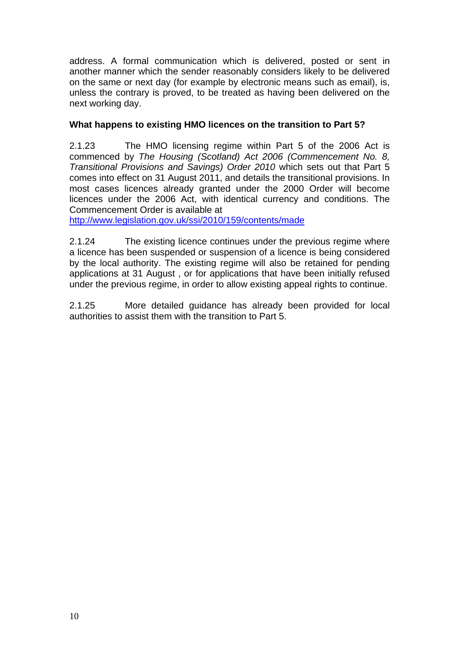address. A formal communication which is delivered, posted or sent in another manner which the sender reasonably considers likely to be delivered on the same or next day (for example by electronic means such as email), is, unless the contrary is proved, to be treated as having been delivered on the next working day.

## **What happens to existing HMO licences on the transition to Part 5?**

2.1.23 The HMO licensing regime within Part 5 of the 2006 Act is commenced by *The Housing (Scotland) Act 2006 (Commencement No. 8, Transitional Provisions and Savings) Order 2010* which sets out that Part 5 comes into effect on 31 August 2011, and details the transitional provisions. In most cases licences already granted under the 2000 Order will become licences under the 2006 Act, with identical currency and conditions. The Commencement Order is available at

http://www.legislation.gov.uk/ssi/2010/159/contents/made

2.1.24 The existing licence continues under the previous regime where a licence has been suspended or suspension of a licence is being considered by the local authority. The existing regime will also be retained for pending applications at 31 August , or for applications that have been initially refused under the previous regime, in order to allow existing appeal rights to continue.

2.1.25 More detailed guidance has already been provided for local authorities to assist them with the transition to Part 5.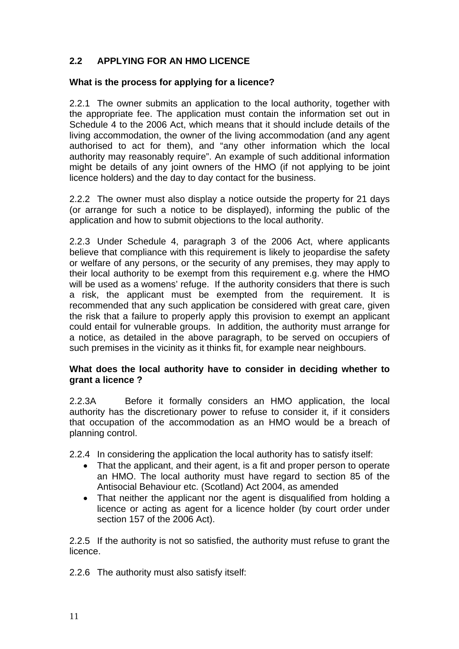# **2.2 APPLYING FOR AN HMO LICENCE**

## **What is the process for applying for a licence?**

2.2.1 The owner submits an application to the local authority, together with the appropriate fee. The application must contain the information set out in Schedule 4 to the 2006 Act, which means that it should include details of the living accommodation, the owner of the living accommodation (and any agent authorised to act for them), and "any other information which the local authority may reasonably require". An example of such additional information might be details of any joint owners of the HMO (if not applying to be joint licence holders) and the day to day contact for the business.

2.2.2 The owner must also display a notice outside the property for 21 days (or arrange for such a notice to be displayed), informing the public of the application and how to submit objections to the local authority.

2.2.3 Under Schedule 4, paragraph 3 of the 2006 Act, where applicants believe that compliance with this requirement is likely to jeopardise the safety or welfare of any persons, or the security of any premises, they may apply to their local authority to be exempt from this requirement e.g. where the HMO will be used as a womens' refuge. If the authority considers that there is such a risk, the applicant must be exempted from the requirement. It is recommended that any such application be considered with great care, given the risk that a failure to properly apply this provision to exempt an applicant could entail for vulnerable groups. In addition, the authority must arrange for a notice, as detailed in the above paragraph, to be served on occupiers of such premises in the vicinity as it thinks fit, for example near neighbours.

#### **What does the local authority have to consider in deciding whether to grant a licence ?**

2.2.3A Before it formally considers an HMO application, the local authority has the discretionary power to refuse to consider it, if it considers that occupation of the accommodation as an HMO would be a breach of planning control.

2.2.4 In considering the application the local authority has to satisfy itself:

- That the applicant, and their agent, is a fit and proper person to operate an HMO. The local authority must have regard to section 85 of the Antisocial Behaviour etc. (Scotland) Act 2004, as amended
- That neither the applicant nor the agent is disqualified from holding a licence or acting as agent for a licence holder (by court order under section 157 of the 2006 Act).

2.2.5 If the authority is not so satisfied, the authority must refuse to grant the licence.

2.2.6 The authority must also satisfy itself: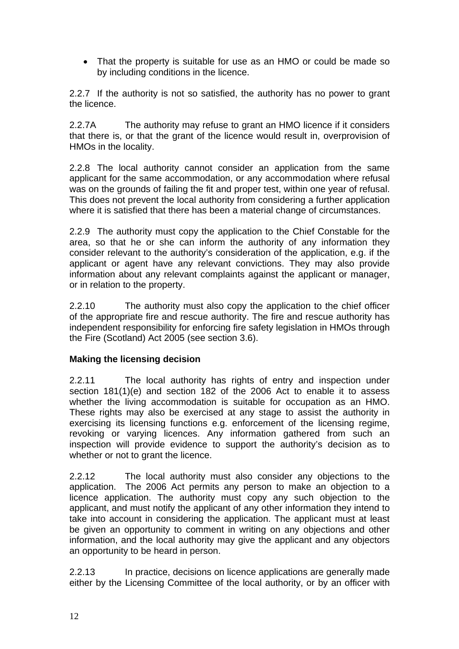• That the property is suitable for use as an HMO or could be made so by including conditions in the licence.

2.2.7 If the authority is not so satisfied, the authority has no power to grant the licence.

2.2.7A The authority may refuse to grant an HMO licence if it considers that there is, or that the grant of the licence would result in, overprovision of HMOs in the locality.

2.2.8 The local authority cannot consider an application from the same applicant for the same accommodation, or any accommodation where refusal was on the grounds of failing the fit and proper test, within one year of refusal. This does not prevent the local authority from considering a further application where it is satisfied that there has been a material change of circumstances.

2.2.9 The authority must copy the application to the Chief Constable for the area, so that he or she can inform the authority of any information they consider relevant to the authority's consideration of the application, e.g. if the applicant or agent have any relevant convictions. They may also provide information about any relevant complaints against the applicant or manager, or in relation to the property.

2.2.10 The authority must also copy the application to the chief officer of the appropriate fire and rescue authority. The fire and rescue authority has independent responsibility for enforcing fire safety legislation in HMOs through the Fire (Scotland) Act 2005 (see section 3.6).

# **Making the licensing decision**

2.2.11 The local authority has rights of entry and inspection under section 181(1)(e) and section 182 of the 2006 Act to enable it to assess whether the living accommodation is suitable for occupation as an HMO. These rights may also be exercised at any stage to assist the authority in exercising its licensing functions e.g. enforcement of the licensing regime, revoking or varying licences. Any information gathered from such an inspection will provide evidence to support the authority's decision as to whether or not to grant the licence.

2.2.12 The local authority must also consider any objections to the application. The 2006 Act permits any person to make an objection to a licence application. The authority must copy any such objection to the applicant, and must notify the applicant of any other information they intend to take into account in considering the application. The applicant must at least be given an opportunity to comment in writing on any objections and other information, and the local authority may give the applicant and any objectors an opportunity to be heard in person.

2.2.13 In practice, decisions on licence applications are generally made either by the Licensing Committee of the local authority, or by an officer with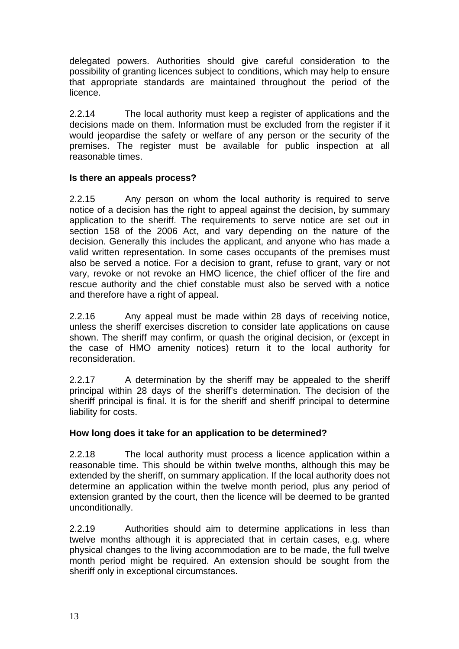delegated powers. Authorities should give careful consideration to the possibility of granting licences subject to conditions, which may help to ensure that appropriate standards are maintained throughout the period of the licence.

2.2.14 The local authority must keep a register of applications and the decisions made on them. Information must be excluded from the register if it would jeopardise the safety or welfare of any person or the security of the premises. The register must be available for public inspection at all reasonable times.

### **Is there an appeals process?**

2.2.15 Any person on whom the local authority is required to serve notice of a decision has the right to appeal against the decision, by summary application to the sheriff. The requirements to serve notice are set out in section 158 of the 2006 Act, and vary depending on the nature of the decision. Generally this includes the applicant, and anyone who has made a valid written representation. In some cases occupants of the premises must also be served a notice. For a decision to grant, refuse to grant, vary or not vary, revoke or not revoke an HMO licence, the chief officer of the fire and rescue authority and the chief constable must also be served with a notice and therefore have a right of appeal.

2.2.16 Any appeal must be made within 28 days of receiving notice, unless the sheriff exercises discretion to consider late applications on cause shown. The sheriff may confirm, or quash the original decision, or (except in the case of HMO amenity notices) return it to the local authority for reconsideration.

2.2.17 A determination by the sheriff may be appealed to the sheriff principal within 28 days of the sheriff's determination. The decision of the sheriff principal is final. It is for the sheriff and sheriff principal to determine liability for costs.

# **How long does it take for an application to be determined?**

2.2.18 The local authority must process a licence application within a reasonable time. This should be within twelve months, although this may be extended by the sheriff, on summary application. If the local authority does not determine an application within the twelve month period, plus any period of extension granted by the court, then the licence will be deemed to be granted unconditionally.

2.2.19 Authorities should aim to determine applications in less than twelve months although it is appreciated that in certain cases, e.g. where physical changes to the living accommodation are to be made, the full twelve month period might be required. An extension should be sought from the sheriff only in exceptional circumstances.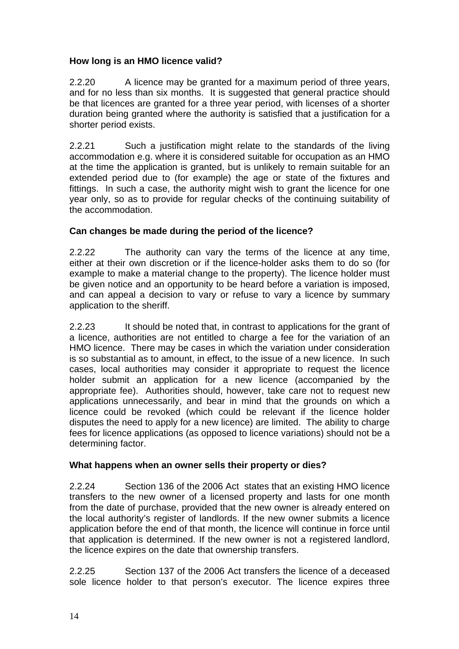# **How long is an HMO licence valid?**

2.2.20 A licence may be granted for a maximum period of three years, and for no less than six months. It is suggested that general practice should be that licences are granted for a three year period, with licenses of a shorter duration being granted where the authority is satisfied that a justification for a shorter period exists.

2.2.21 Such a justification might relate to the standards of the living accommodation e.g. where it is considered suitable for occupation as an HMO at the time the application is granted, but is unlikely to remain suitable for an extended period due to (for example) the age or state of the fixtures and fittings. In such a case, the authority might wish to grant the licence for one year only, so as to provide for regular checks of the continuing suitability of the accommodation.

# **Can changes be made during the period of the licence?**

2.2.22 The authority can vary the terms of the licence at any time, either at their own discretion or if the licence-holder asks them to do so (for example to make a material change to the property). The licence holder must be given notice and an opportunity to be heard before a variation is imposed, and can appeal a decision to vary or refuse to vary a licence by summary application to the sheriff.

2.2.23 It should be noted that, in contrast to applications for the grant of a licence, authorities are not entitled to charge a fee for the variation of an HMO licence. There may be cases in which the variation under consideration is so substantial as to amount, in effect, to the issue of a new licence. In such cases, local authorities may consider it appropriate to request the licence holder submit an application for a new licence (accompanied by the appropriate fee). Authorities should, however, take care not to request new applications unnecessarily, and bear in mind that the grounds on which a licence could be revoked (which could be relevant if the licence holder disputes the need to apply for a new licence) are limited. The ability to charge fees for licence applications (as opposed to licence variations) should not be a determining factor.

# **What happens when an owner sells their property or dies?**

2.2.24 Section 136 of the 2006 Act states that an existing HMO licence transfers to the new owner of a licensed property and lasts for one month from the date of purchase, provided that the new owner is already entered on the local authority's register of landlords. If the new owner submits a licence application before the end of that month, the licence will continue in force until that application is determined. If the new owner is not a registered landlord, the licence expires on the date that ownership transfers.

2.2.25 Section 137 of the 2006 Act transfers the licence of a deceased sole licence holder to that person's executor. The licence expires three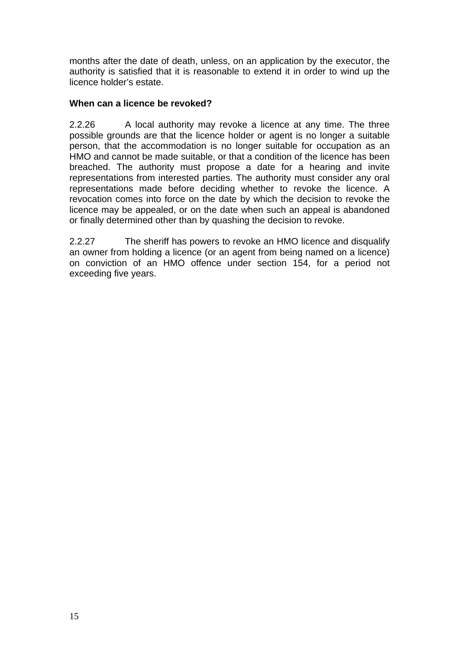months after the date of death, unless, on an application by the executor, the authority is satisfied that it is reasonable to extend it in order to wind up the licence holder's estate.

#### **When can a licence be revoked?**

2.2.26 A local authority may revoke a licence at any time. The three possible grounds are that the licence holder or agent is no longer a suitable person, that the accommodation is no longer suitable for occupation as an HMO and cannot be made suitable, or that a condition of the licence has been breached. The authority must propose a date for a hearing and invite representations from interested parties. The authority must consider any oral representations made before deciding whether to revoke the licence. A revocation comes into force on the date by which the decision to revoke the licence may be appealed, or on the date when such an appeal is abandoned or finally determined other than by quashing the decision to revoke.

2.2.27 The sheriff has powers to revoke an HMO licence and disqualify an owner from holding a licence (or an agent from being named on a licence) on conviction of an HMO offence under section 154, for a period not exceeding five years.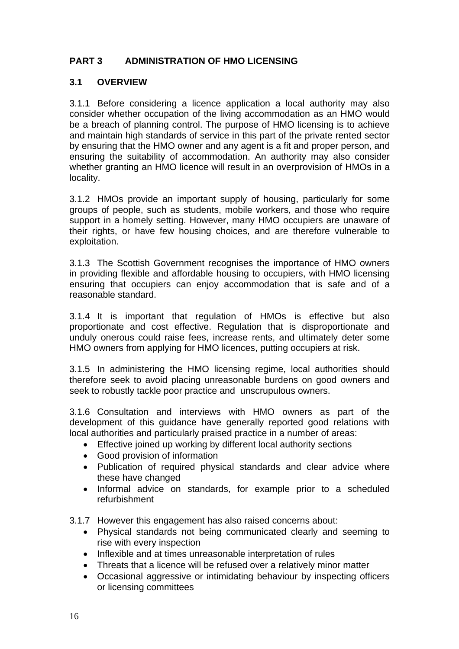# **PART 3 ADMINISTRATION OF HMO LICENSING**

### **3.1 OVERVIEW**

3.1.1 Before considering a licence application a local authority may also consider whether occupation of the living accommodation as an HMO would be a breach of planning control. The purpose of HMO licensing is to achieve and maintain high standards of service in this part of the private rented sector by ensuring that the HMO owner and any agent is a fit and proper person, and ensuring the suitability of accommodation. An authority may also consider whether granting an HMO licence will result in an overprovision of HMOs in a locality.

3.1.2 HMOs provide an important supply of housing, particularly for some groups of people, such as students, mobile workers, and those who require support in a homely setting. However, many HMO occupiers are unaware of their rights, or have few housing choices, and are therefore vulnerable to exploitation.

3.1.3 The Scottish Government recognises the importance of HMO owners in providing flexible and affordable housing to occupiers, with HMO licensing ensuring that occupiers can enjoy accommodation that is safe and of a reasonable standard.

3.1.4 It is important that regulation of HMOs is effective but also proportionate and cost effective. Regulation that is disproportionate and unduly onerous could raise fees, increase rents, and ultimately deter some HMO owners from applying for HMO licences, putting occupiers at risk.

3.1.5 In administering the HMO licensing regime, local authorities should therefore seek to avoid placing unreasonable burdens on good owners and seek to robustly tackle poor practice and unscrupulous owners.

3.1.6 Consultation and interviews with HMO owners as part of the development of this guidance have generally reported good relations with local authorities and particularly praised practice in a number of areas:

- Effective joined up working by different local authority sections
- Good provision of information
- Publication of required physical standards and clear advice where these have changed
- Informal advice on standards, for example prior to a scheduled refurbishment

3.1.7 However this engagement has also raised concerns about:

- Physical standards not being communicated clearly and seeming to rise with every inspection
- Inflexible and at times unreasonable interpretation of rules
- Threats that a licence will be refused over a relatively minor matter
- Occasional aggressive or intimidating behaviour by inspecting officers or licensing committees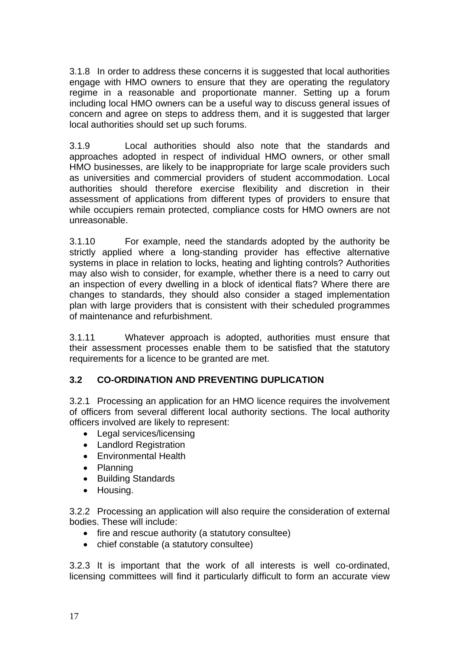3.1.8 In order to address these concerns it is suggested that local authorities engage with HMO owners to ensure that they are operating the regulatory regime in a reasonable and proportionate manner. Setting up a forum including local HMO owners can be a useful way to discuss general issues of concern and agree on steps to address them, and it is suggested that larger local authorities should set up such forums.

3.1.9 Local authorities should also note that the standards and approaches adopted in respect of individual HMO owners, or other small HMO businesses, are likely to be inappropriate for large scale providers such as universities and commercial providers of student accommodation. Local authorities should therefore exercise flexibility and discretion in their assessment of applications from different types of providers to ensure that while occupiers remain protected, compliance costs for HMO owners are not unreasonable.

3.1.10 For example, need the standards adopted by the authority be strictly applied where a long-standing provider has effective alternative systems in place in relation to locks, heating and lighting controls? Authorities may also wish to consider, for example, whether there is a need to carry out an inspection of every dwelling in a block of identical flats? Where there are changes to standards, they should also consider a staged implementation plan with large providers that is consistent with their scheduled programmes of maintenance and refurbishment.

3.1.11 Whatever approach is adopted, authorities must ensure that their assessment processes enable them to be satisfied that the statutory requirements for a licence to be granted are met.

# **3.2 CO-ORDINATION AND PREVENTING DUPLICATION**

3.2.1 Processing an application for an HMO licence requires the involvement of officers from several different local authority sections. The local authority officers involved are likely to represent:

- Legal services/licensing
- Landlord Registration
- Environmental Health
- Planning
- Building Standards
- Housing.

3.2.2 Processing an application will also require the consideration of external bodies. These will include:

- fire and rescue authority (a statutory consultee)
- chief constable (a statutory consultee)

3.2.3 It is important that the work of all interests is well co-ordinated, licensing committees will find it particularly difficult to form an accurate view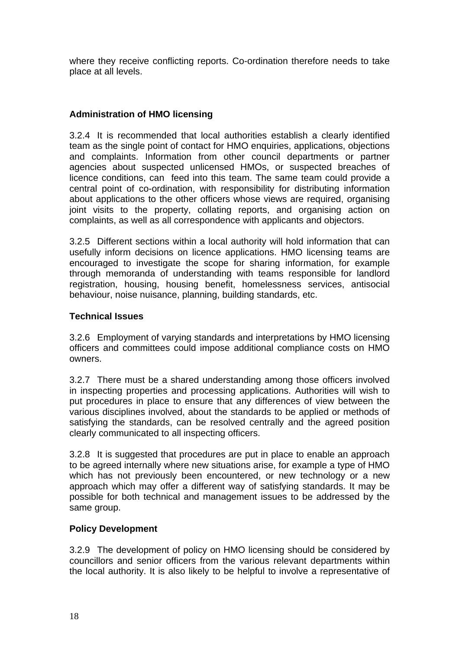where they receive conflicting reports. Co-ordination therefore needs to take place at all levels.

# **Administration of HMO licensing**

3.2.4 It is recommended that local authorities establish a clearly identified team as the single point of contact for HMO enquiries, applications, objections and complaints. Information from other council departments or partner agencies about suspected unlicensed HMOs, or suspected breaches of licence conditions, can feed into this team. The same team could provide a central point of co-ordination, with responsibility for distributing information about applications to the other officers whose views are required, organising joint visits to the property, collating reports, and organising action on complaints, as well as all correspondence with applicants and objectors.

3.2.5 Different sections within a local authority will hold information that can usefully inform decisions on licence applications. HMO licensing teams are encouraged to investigate the scope for sharing information, for example through memoranda of understanding with teams responsible for landlord registration, housing, housing benefit, homelessness services, antisocial behaviour, noise nuisance, planning, building standards, etc.

# **Technical Issues**

3.2.6 Employment of varying standards and interpretations by HMO licensing officers and committees could impose additional compliance costs on HMO owners.

3.2.7 There must be a shared understanding among those officers involved in inspecting properties and processing applications. Authorities will wish to put procedures in place to ensure that any differences of view between the various disciplines involved, about the standards to be applied or methods of satisfying the standards, can be resolved centrally and the agreed position clearly communicated to all inspecting officers.

3.2.8 It is suggested that procedures are put in place to enable an approach to be agreed internally where new situations arise, for example a type of HMO which has not previously been encountered, or new technology or a new approach which may offer a different way of satisfying standards. It may be possible for both technical and management issues to be addressed by the same group.

# **Policy Development**

3.2.9 The development of policy on HMO licensing should be considered by councillors and senior officers from the various relevant departments within the local authority. It is also likely to be helpful to involve a representative of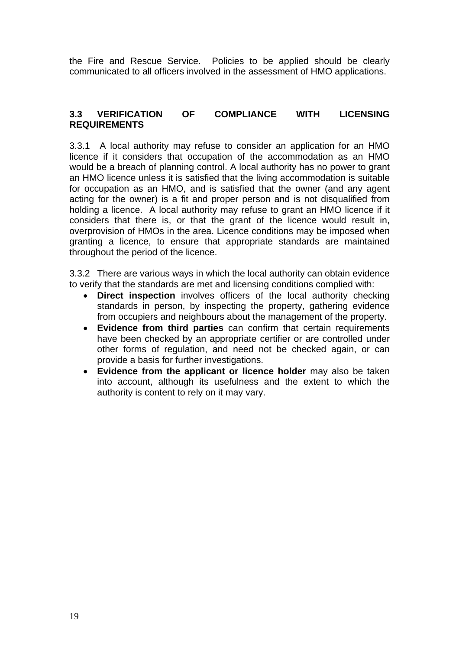the Fire and Rescue Service. Policies to be applied should be clearly communicated to all officers involved in the assessment of HMO applications.

#### **3.3 VERIFICATION OF COMPLIANCE WITH LICENSING REQUIREMENTS**

3.3.1 A local authority may refuse to consider an application for an HMO licence if it considers that occupation of the accommodation as an HMO would be a breach of planning control. A local authority has no power to grant an HMO licence unless it is satisfied that the living accommodation is suitable for occupation as an HMO, and is satisfied that the owner (and any agent acting for the owner) is a fit and proper person and is not disqualified from holding a licence. A local authority may refuse to grant an HMO licence if it considers that there is, or that the grant of the licence would result in, overprovision of HMOs in the area. Licence conditions may be imposed when granting a licence, to ensure that appropriate standards are maintained throughout the period of the licence.

3.3.2 There are various ways in which the local authority can obtain evidence to verify that the standards are met and licensing conditions complied with:

- **Direct inspection** involves officers of the local authority checking standards in person, by inspecting the property, gathering evidence from occupiers and neighbours about the management of the property.
- **Evidence from third parties** can confirm that certain requirements have been checked by an appropriate certifier or are controlled under other forms of regulation, and need not be checked again, or can provide a basis for further investigations.
- **Evidence from the applicant or licence holder** may also be taken into account, although its usefulness and the extent to which the authority is content to rely on it may vary.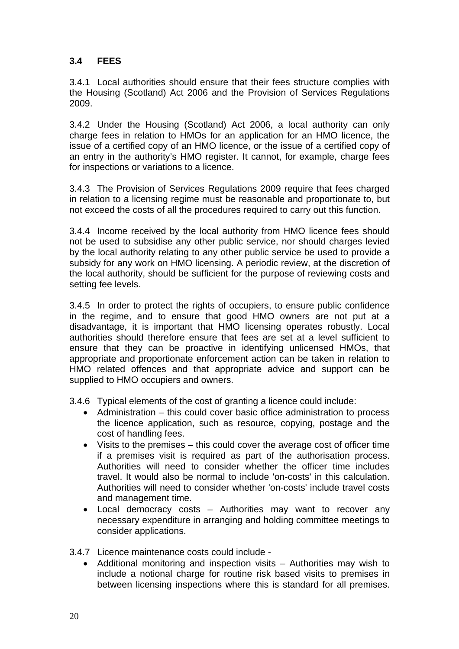# **3.4 FEES**

3.4.1 Local authorities should ensure that their fees structure complies with the Housing (Scotland) Act 2006 and the Provision of Services Regulations 2009.

3.4.2 Under the Housing (Scotland) Act 2006, a local authority can only charge fees in relation to HMOs for an application for an HMO licence, the issue of a certified copy of an HMO licence, or the issue of a certified copy of an entry in the authority's HMO register. It cannot, for example, charge fees for inspections or variations to a licence.

3.4.3 The Provision of Services Regulations 2009 require that fees charged in relation to a licensing regime must be reasonable and proportionate to, but not exceed the costs of all the procedures required to carry out this function.

3.4.4 Income received by the local authority from HMO licence fees should not be used to subsidise any other public service, nor should charges levied by the local authority relating to any other public service be used to provide a subsidy for any work on HMO licensing. A periodic review, at the discretion of the local authority, should be sufficient for the purpose of reviewing costs and setting fee levels.

3.4.5 In order to protect the rights of occupiers, to ensure public confidence in the regime, and to ensure that good HMO owners are not put at a disadvantage, it is important that HMO licensing operates robustly. Local authorities should therefore ensure that fees are set at a level sufficient to ensure that they can be proactive in identifying unlicensed HMOs, that appropriate and proportionate enforcement action can be taken in relation to HMO related offences and that appropriate advice and support can be supplied to HMO occupiers and owners.

3.4.6 Typical elements of the cost of granting a licence could include:

- Administration this could cover basic office administration to process the licence application, such as resource, copying, postage and the cost of handling fees.
- Visits to the premises this could cover the average cost of officer time if a premises visit is required as part of the authorisation process. Authorities will need to consider whether the officer time includes travel. It would also be normal to include 'on-costs' in this calculation. Authorities will need to consider whether 'on-costs' include travel costs and management time.
- Local democracy costs Authorities may want to recover any necessary expenditure in arranging and holding committee meetings to consider applications.

3.4.7 Licence maintenance costs could include -

• Additional monitoring and inspection visits – Authorities may wish to include a notional charge for routine risk based visits to premises in between licensing inspections where this is standard for all premises.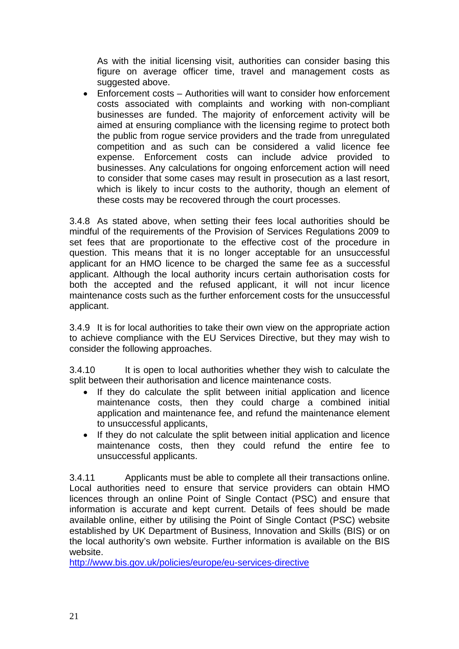As with the initial licensing visit, authorities can consider basing this figure on average officer time, travel and management costs as suggested above.

• Enforcement costs – Authorities will want to consider how enforcement costs associated with complaints and working with non-compliant businesses are funded. The majority of enforcement activity will be aimed at ensuring compliance with the licensing regime to protect both the public from rogue service providers and the trade from unregulated competition and as such can be considered a valid licence fee expense. Enforcement costs can include advice provided to businesses. Any calculations for ongoing enforcement action will need to consider that some cases may result in prosecution as a last resort, which is likely to incur costs to the authority, though an element of these costs may be recovered through the court processes.

3.4.8 As stated above, when setting their fees local authorities should be mindful of the requirements of the Provision of Services Regulations 2009 to set fees that are proportionate to the effective cost of the procedure in question. This means that it is no longer acceptable for an unsuccessful applicant for an HMO licence to be charged the same fee as a successful applicant. Although the local authority incurs certain authorisation costs for both the accepted and the refused applicant, it will not incur licence maintenance costs such as the further enforcement costs for the unsuccessful applicant.

3.4.9 It is for local authorities to take their own view on the appropriate action to achieve compliance with the EU Services Directive, but they may wish to consider the following approaches.

3.4.10 It is open to local authorities whether they wish to calculate the split between their authorisation and licence maintenance costs.

- If they do calculate the split between initial application and licence maintenance costs, then they could charge a combined initial application and maintenance fee, and refund the maintenance element to unsuccessful applicants,
- If they do not calculate the split between initial application and licence maintenance costs, then they could refund the entire fee to unsuccessful applicants.

3.4.11 Applicants must be able to complete all their transactions online. Local authorities need to ensure that service providers can obtain HMO licences through an online Point of Single Contact (PSC) and ensure that information is accurate and kept current. Details of fees should be made available online, either by utilising the Point of Single Contact (PSC) website established by UK Department of Business, Innovation and Skills (BIS) or on the local authority's own website. Further information is available on the BIS website.

http://www.bis.gov.uk/policies/europe/eu-services-directive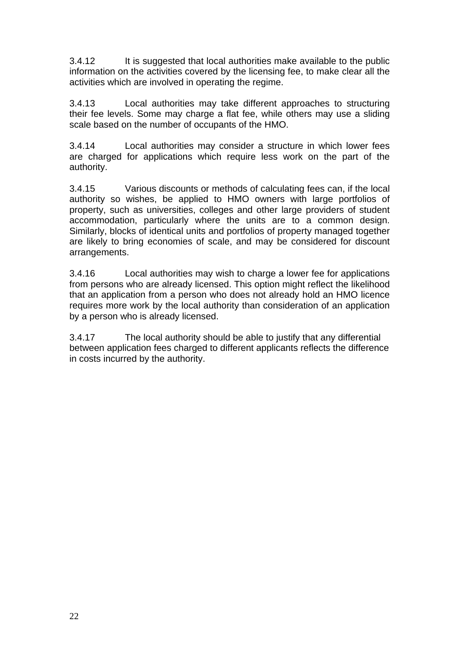3.4.12 It is suggested that local authorities make available to the public information on the activities covered by the licensing fee, to make clear all the activities which are involved in operating the regime.

3.4.13 Local authorities may take different approaches to structuring their fee levels. Some may charge a flat fee, while others may use a sliding scale based on the number of occupants of the HMO.

3.4.14 Local authorities may consider a structure in which lower fees are charged for applications which require less work on the part of the authority.

3.4.15 Various discounts or methods of calculating fees can, if the local authority so wishes, be applied to HMO owners with large portfolios of property, such as universities, colleges and other large providers of student accommodation, particularly where the units are to a common design. Similarly, blocks of identical units and portfolios of property managed together are likely to bring economies of scale, and may be considered for discount arrangements.

3.4.16 Local authorities may wish to charge a lower fee for applications from persons who are already licensed. This option might reflect the likelihood that an application from a person who does not already hold an HMO licence requires more work by the local authority than consideration of an application by a person who is already licensed.

3.4.17 The local authority should be able to justify that any differential between application fees charged to different applicants reflects the difference in costs incurred by the authority.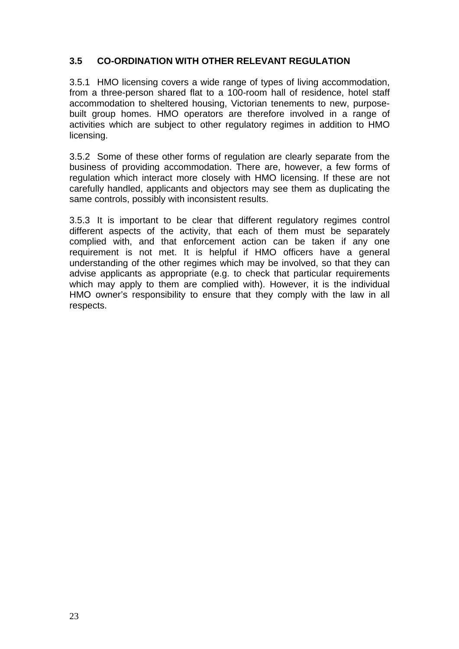# **3.5 CO-ORDINATION WITH OTHER RELEVANT REGULATION**

3.5.1 HMO licensing covers a wide range of types of living accommodation, from a three-person shared flat to a 100-room hall of residence, hotel staff accommodation to sheltered housing, Victorian tenements to new, purposebuilt group homes. HMO operators are therefore involved in a range of activities which are subject to other regulatory regimes in addition to HMO licensing.

3.5.2 Some of these other forms of regulation are clearly separate from the business of providing accommodation. There are, however, a few forms of regulation which interact more closely with HMO licensing. If these are not carefully handled, applicants and objectors may see them as duplicating the same controls, possibly with inconsistent results.

3.5.3 It is important to be clear that different regulatory regimes control different aspects of the activity, that each of them must be separately complied with, and that enforcement action can be taken if any one requirement is not met. It is helpful if HMO officers have a general understanding of the other regimes which may be involved, so that they can advise applicants as appropriate (e.g. to check that particular requirements which may apply to them are complied with). However, it is the individual HMO owner's responsibility to ensure that they comply with the law in all respects.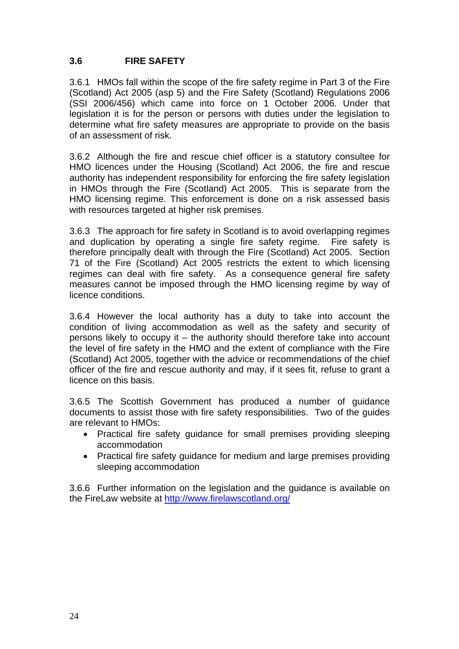## **3.6 FIRE SAFETY**

3.6.1 HMOs fall within the scope of the fire safety regime in Part 3 of the Fire (Scotland) Act 2005 (asp 5) and the Fire Safety (Scotland) Regulations 2006 (SSI 2006/456) which came into force on 1 October 2006. Under that legislation it is for the person or persons with duties under the legislation to determine what fire safety measures are appropriate to provide on the basis of an assessment of risk.

3.6.2 Although the fire and rescue chief officer is a statutory consultee for HMO licences under the Housing (Scotland) Act 2006, the fire and rescue authority has independent responsibility for enforcing the fire safety legislation in HMOs through the Fire (Scotland) Act 2005. This is separate from the HMO licensing regime. This enforcement is done on a risk assessed basis with resources targeted at higher risk premises.

3.6.3 The approach for fire safety in Scotland is to avoid overlapping regimes and duplication by operating a single fire safety regime. Fire safety is therefore principally dealt with through the Fire (Scotland) Act 2005. Section 71 of the Fire (Scotland) Act 2005 restricts the extent to which licensing regimes can deal with fire safety. As a consequence general fire safety measures cannot be imposed through the HMO licensing regime by way of licence conditions.

3.6.4 However the local authority has a duty to take into account the condition of living accommodation as well as the safety and security of persons likely to occupy it – the authority should therefore take into account the level of fire safety in the HMO and the extent of compliance with the Fire (Scotland) Act 2005, together with the advice or recommendations of the chief officer of the fire and rescue authority and may, if it sees fit, refuse to grant a licence on this basis.

3.6.5 The Scottish Government has produced a number of guidance documents to assist those with fire safety responsibilities. Two of the guides are relevant to HMOs:

- Practical fire safety guidance for small premises providing sleeping accommodation
- Practical fire safety guidance for medium and large premises providing sleeping accommodation

3.6.6 Further information on the legislation and the guidance is available on the FireLaw website at http://www.firelawscotland.org/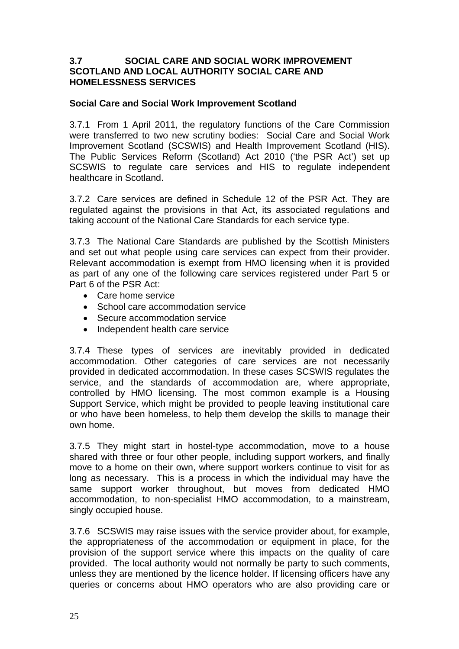#### **3.7 SOCIAL CARE AND SOCIAL WORK IMPROVEMENT SCOTLAND AND LOCAL AUTHORITY SOCIAL CARE AND HOMELESSNESS SERVICES**

#### **Social Care and Social Work Improvement Scotland**

3.7.1 From 1 April 2011, the regulatory functions of the Care Commission were transferred to two new scrutiny bodies: Social Care and Social Work Improvement Scotland (SCSWIS) and Health Improvement Scotland (HIS). The Public Services Reform (Scotland) Act 2010 ('the PSR Act') set up SCSWIS to regulate care services and HIS to regulate independent healthcare in Scotland.

3.7.2 Care services are defined in Schedule 12 of the PSR Act. They are regulated against the provisions in that Act, its associated regulations and taking account of the National Care Standards for each service type.

3.7.3 The National Care Standards are published by the Scottish Ministers and set out what people using care services can expect from their provider. Relevant accommodation is exempt from HMO licensing when it is provided as part of any one of the following care services registered under Part 5 or Part 6 of the PSR Act:

- Care home service
- School care accommodation service
- Secure accommodation service
- Independent health care service

3.7.4 These types of services are inevitably provided in dedicated accommodation. Other categories of care services are not necessarily provided in dedicated accommodation. In these cases SCSWIS regulates the service, and the standards of accommodation are, where appropriate, controlled by HMO licensing. The most common example is a Housing Support Service, which might be provided to people leaving institutional care or who have been homeless, to help them develop the skills to manage their own home.

3.7.5 They might start in hostel-type accommodation, move to a house shared with three or four other people, including support workers, and finally move to a home on their own, where support workers continue to visit for as long as necessary. This is a process in which the individual may have the same support worker throughout, but moves from dedicated HMO accommodation, to non-specialist HMO accommodation, to a mainstream, singly occupied house.

3.7.6 SCSWIS may raise issues with the service provider about, for example, the appropriateness of the accommodation or equipment in place, for the provision of the support service where this impacts on the quality of care provided. The local authority would not normally be party to such comments, unless they are mentioned by the licence holder. If licensing officers have any queries or concerns about HMO operators who are also providing care or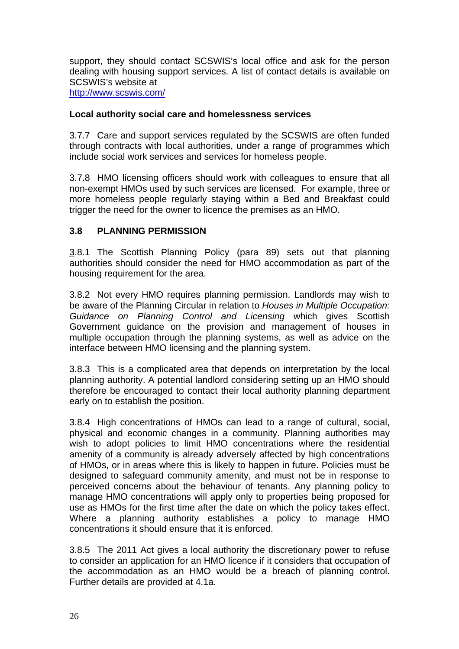support, they should contact SCSWIS's local office and ask for the person dealing with housing support services. A list of contact details is available on SCSWIS's website at http://www.scswis.com/

#### **Local authority social care and homelessness services**

3.7.7 Care and support services regulated by the SCSWIS are often funded through contracts with local authorities, under a range of programmes which include social work services and services for homeless people.

3.7.8 HMO licensing officers should work with colleagues to ensure that all non-exempt HMOs used by such services are licensed. For example, three or more homeless people regularly staying within a Bed and Breakfast could trigger the need for the owner to licence the premises as an HMO.

### **3.8 PLANNING PERMISSION**

3.8.1 The Scottish Planning Policy (para 89) sets out that planning authorities should consider the need for HMO accommodation as part of the housing requirement for the area.

3.8.2 Not every HMO requires planning permission. Landlords may wish to be aware of the Planning Circular in relation to *Houses in Multiple Occupation: Guidance on Planning Control and Licensing* which gives Scottish Government guidance on the provision and management of houses in multiple occupation through the planning systems, as well as advice on the interface between HMO licensing and the planning system.

3.8.3 This is a complicated area that depends on interpretation by the local planning authority. A potential landlord considering setting up an HMO should therefore be encouraged to contact their local authority planning department early on to establish the position.

3.8.4 High concentrations of HMOs can lead to a range of cultural, social, physical and economic changes in a community. Planning authorities may wish to adopt policies to limit HMO concentrations where the residential amenity of a community is already adversely affected by high concentrations of HMOs, or in areas where this is likely to happen in future. Policies must be designed to safeguard community amenity, and must not be in response to perceived concerns about the behaviour of tenants. Any planning policy to manage HMO concentrations will apply only to properties being proposed for use as HMOs for the first time after the date on which the policy takes effect. Where a planning authority establishes a policy to manage HMO concentrations it should ensure that it is enforced.

3.8.5 The 2011 Act gives a local authority the discretionary power to refuse to consider an application for an HMO licence if it considers that occupation of the accommodation as an HMO would be a breach of planning control. Further details are provided at 4.1a.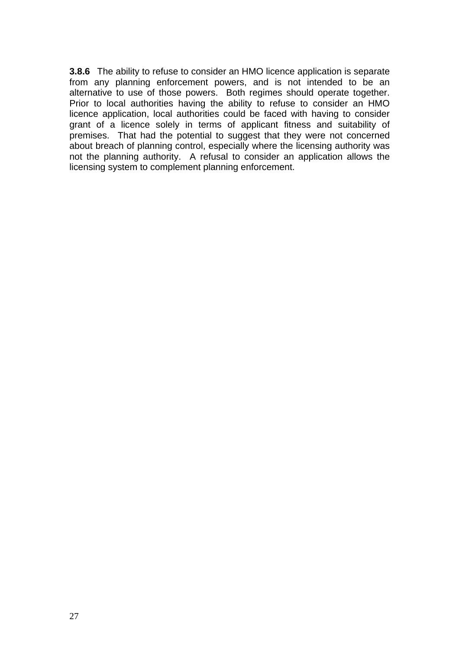**3.8.6** The ability to refuse to consider an HMO licence application is separate from any planning enforcement powers, and is not intended to be an alternative to use of those powers. Both regimes should operate together. Prior to local authorities having the ability to refuse to consider an HMO licence application, local authorities could be faced with having to consider grant of a licence solely in terms of applicant fitness and suitability of premises. That had the potential to suggest that they were not concerned about breach of planning control, especially where the licensing authority was not the planning authority. A refusal to consider an application allows the licensing system to complement planning enforcement.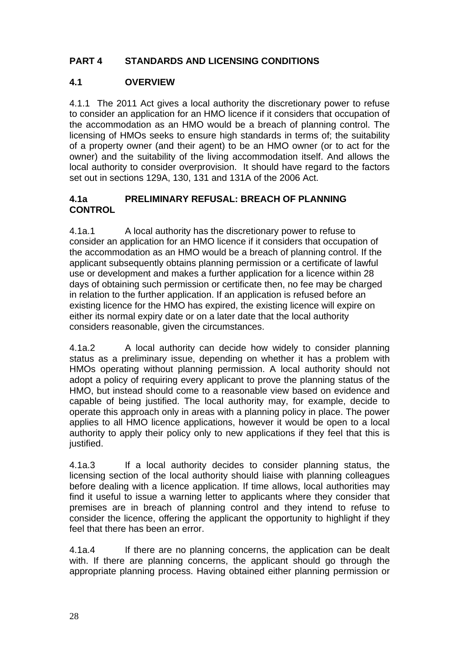# **PART 4 STANDARDS AND LICENSING CONDITIONS**

# **4.1 OVERVIEW**

4.1.1 The 2011 Act gives a local authority the discretionary power to refuse to consider an application for an HMO licence if it considers that occupation of the accommodation as an HMO would be a breach of planning control. The licensing of HMOs seeks to ensure high standards in terms of; the suitability of a property owner (and their agent) to be an HMO owner (or to act for the owner) and the suitability of the living accommodation itself. And allows the local authority to consider overprovision. It should have regard to the factors set out in sections 129A, 130, 131 and 131A of the 2006 Act.

## **4.1a PRELIMINARY REFUSAL: BREACH OF PLANNING CONTROL**

4.1a.1 A local authority has the discretionary power to refuse to consider an application for an HMO licence if it considers that occupation of the accommodation as an HMO would be a breach of planning control. If the applicant subsequently obtains planning permission or a certificate of lawful use or development and makes a further application for a licence within 28 days of obtaining such permission or certificate then, no fee may be charged in relation to the further application. If an application is refused before an existing licence for the HMO has expired, the existing licence will expire on either its normal expiry date or on a later date that the local authority considers reasonable, given the circumstances.

4.1a.2 A local authority can decide how widely to consider planning status as a preliminary issue, depending on whether it has a problem with HMOs operating without planning permission. A local authority should not adopt a policy of requiring every applicant to prove the planning status of the HMO, but instead should come to a reasonable view based on evidence and capable of being justified. The local authority may, for example, decide to operate this approach only in areas with a planning policy in place. The power applies to all HMO licence applications, however it would be open to a local authority to apply their policy only to new applications if they feel that this is justified.

4.1a.3 If a local authority decides to consider planning status, the licensing section of the local authority should liaise with planning colleagues before dealing with a licence application. If time allows, local authorities may find it useful to issue a warning letter to applicants where they consider that premises are in breach of planning control and they intend to refuse to consider the licence, offering the applicant the opportunity to highlight if they feel that there has been an error.

4.1a.4 If there are no planning concerns, the application can be dealt with. If there are planning concerns, the applicant should go through the appropriate planning process. Having obtained either planning permission or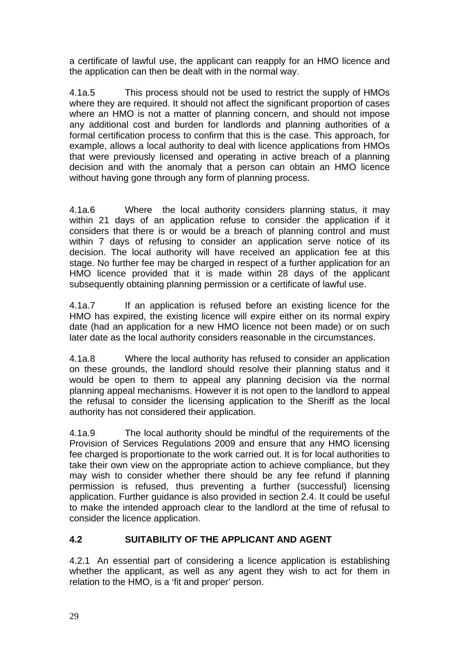a certificate of lawful use, the applicant can reapply for an HMO licence and the application can then be dealt with in the normal way.

4.1a.5 This process should not be used to restrict the supply of HMOs where they are required. It should not affect the significant proportion of cases where an HMO is not a matter of planning concern, and should not impose any additional cost and burden for landlords and planning authorities of a formal certification process to confirm that this is the case. This approach, for example, allows a local authority to deal with licence applications from HMOs that were previously licensed and operating in active breach of a planning decision and with the anomaly that a person can obtain an HMO licence without having gone through any form of planning process.

4.1a.6 Where the local authority considers planning status, it may within 21 days of an application refuse to consider the application if it considers that there is or would be a breach of planning control and must within 7 days of refusing to consider an application serve notice of its decision. The local authority will have received an application fee at this stage. No further fee may be charged in respect of a further application for an HMO licence provided that it is made within 28 days of the applicant subsequently obtaining planning permission or a certificate of lawful use.

4.1a.7 If an application is refused before an existing licence for the HMO has expired, the existing licence will expire either on its normal expiry date (had an application for a new HMO licence not been made) or on such later date as the local authority considers reasonable in the circumstances.

4.1a.8 Where the local authority has refused to consider an application on these grounds, the landlord should resolve their planning status and it would be open to them to appeal any planning decision via the normal planning appeal mechanisms. However it is not open to the landlord to appeal the refusal to consider the licensing application to the Sheriff as the local authority has not considered their application.

4.1a.9 The local authority should be mindful of the requirements of the Provision of Services Regulations 2009 and ensure that any HMO licensing fee charged is proportionate to the work carried out. It is for local authorities to take their own view on the appropriate action to achieve compliance, but they may wish to consider whether there should be any fee refund if planning permission is refused, thus preventing a further (successful) licensing application. Further guidance is also provided in section 2.4. It could be useful to make the intended approach clear to the landlord at the time of refusal to consider the licence application.

# **4.2 SUITABILITY OF THE APPLICANT AND AGENT**

4.2.1 An essential part of considering a licence application is establishing whether the applicant, as well as any agent they wish to act for them in relation to the HMO, is a 'fit and proper' person.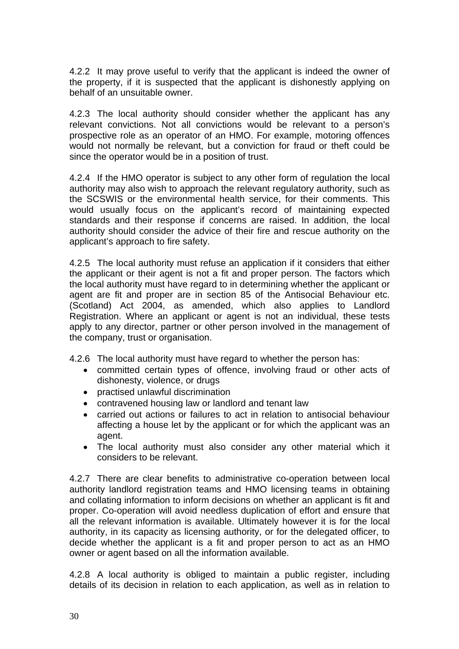4.2.2 It may prove useful to verify that the applicant is indeed the owner of the property, if it is suspected that the applicant is dishonestly applying on behalf of an unsuitable owner.

4.2.3 The local authority should consider whether the applicant has any relevant convictions. Not all convictions would be relevant to a person's prospective role as an operator of an HMO. For example, motoring offences would not normally be relevant, but a conviction for fraud or theft could be since the operator would be in a position of trust.

4.2.4 If the HMO operator is subject to any other form of regulation the local authority may also wish to approach the relevant regulatory authority, such as the SCSWIS or the environmental health service, for their comments. This would usually focus on the applicant's record of maintaining expected standards and their response if concerns are raised. In addition, the local authority should consider the advice of their fire and rescue authority on the applicant's approach to fire safety.

4.2.5 The local authority must refuse an application if it considers that either the applicant or their agent is not a fit and proper person. The factors which the local authority must have regard to in determining whether the applicant or agent are fit and proper are in section 85 of the Antisocial Behaviour etc. (Scotland) Act 2004, as amended, which also applies to Landlord Registration. Where an applicant or agent is not an individual, these tests apply to any director, partner or other person involved in the management of the company, trust or organisation.

4.2.6 The local authority must have regard to whether the person has:

- committed certain types of offence, involving fraud or other acts of dishonesty, violence, or drugs
- practised unlawful discrimination
- contravened housing law or landlord and tenant law
- carried out actions or failures to act in relation to antisocial behaviour affecting a house let by the applicant or for which the applicant was an agent.
- The local authority must also consider any other material which it considers to be relevant.

4.2.7 There are clear benefits to administrative co-operation between local authority landlord registration teams and HMO licensing teams in obtaining and collating information to inform decisions on whether an applicant is fit and proper. Co-operation will avoid needless duplication of effort and ensure that all the relevant information is available. Ultimately however it is for the local authority, in its capacity as licensing authority, or for the delegated officer, to decide whether the applicant is a fit and proper person to act as an HMO owner or agent based on all the information available.

4.2.8 A local authority is obliged to maintain a public register, including details of its decision in relation to each application, as well as in relation to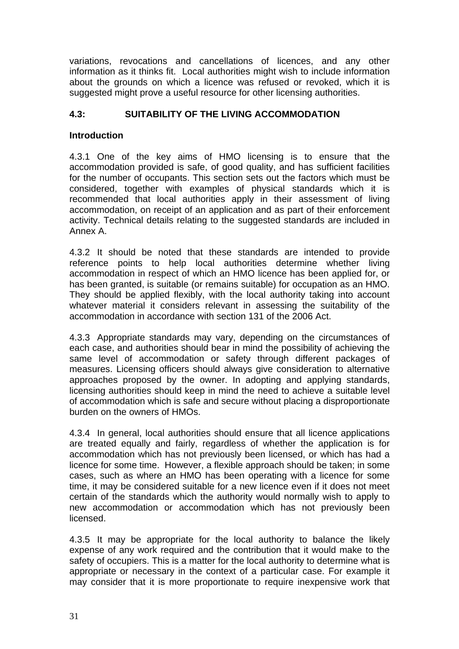variations, revocations and cancellations of licences, and any other information as it thinks fit. Local authorities might wish to include information about the grounds on which a licence was refused or revoked, which it is suggested might prove a useful resource for other licensing authorities.

# **4.3: SUITABILITY OF THE LIVING ACCOMMODATION**

#### **Introduction**

4.3.1 One of the key aims of HMO licensing is to ensure that the accommodation provided is safe, of good quality, and has sufficient facilities for the number of occupants. This section sets out the factors which must be considered, together with examples of physical standards which it is recommended that local authorities apply in their assessment of living accommodation, on receipt of an application and as part of their enforcement activity. Technical details relating to the suggested standards are included in Annex A.

4.3.2 It should be noted that these standards are intended to provide reference points to help local authorities determine whether living accommodation in respect of which an HMO licence has been applied for, or has been granted, is suitable (or remains suitable) for occupation as an HMO. They should be applied flexibly, with the local authority taking into account whatever material it considers relevant in assessing the suitability of the accommodation in accordance with section 131 of the 2006 Act.

4.3.3 Appropriate standards may vary, depending on the circumstances of each case, and authorities should bear in mind the possibility of achieving the same level of accommodation or safety through different packages of measures. Licensing officers should always give consideration to alternative approaches proposed by the owner. In adopting and applying standards, licensing authorities should keep in mind the need to achieve a suitable level of accommodation which is safe and secure without placing a disproportionate burden on the owners of HMOs.

4.3.4 In general, local authorities should ensure that all licence applications are treated equally and fairly, regardless of whether the application is for accommodation which has not previously been licensed, or which has had a licence for some time. However, a flexible approach should be taken; in some cases, such as where an HMO has been operating with a licence for some time, it may be considered suitable for a new licence even if it does not meet certain of the standards which the authority would normally wish to apply to new accommodation or accommodation which has not previously been licensed.

4.3.5 It may be appropriate for the local authority to balance the likely expense of any work required and the contribution that it would make to the safety of occupiers. This is a matter for the local authority to determine what is appropriate or necessary in the context of a particular case. For example it may consider that it is more proportionate to require inexpensive work that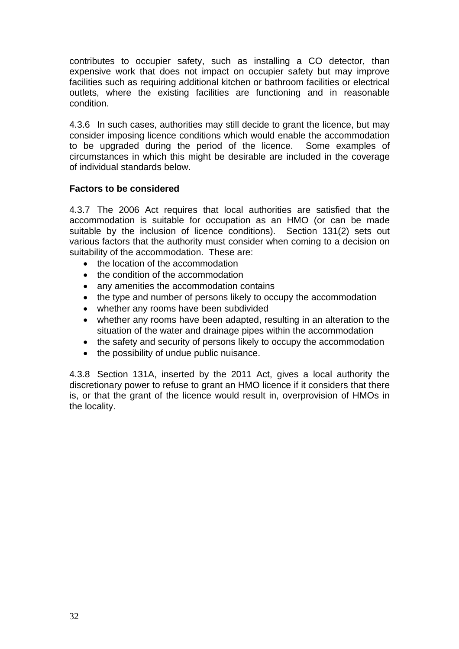contributes to occupier safety, such as installing a CO detector, than expensive work that does not impact on occupier safety but may improve facilities such as requiring additional kitchen or bathroom facilities or electrical outlets, where the existing facilities are functioning and in reasonable condition.

4.3.6 In such cases, authorities may still decide to grant the licence, but may consider imposing licence conditions which would enable the accommodation to be upgraded during the period of the licence. Some examples of circumstances in which this might be desirable are included in the coverage of individual standards below.

### **Factors to be considered**

4.3.7 The 2006 Act requires that local authorities are satisfied that the accommodation is suitable for occupation as an HMO (or can be made suitable by the inclusion of licence conditions). Section 131(2) sets out various factors that the authority must consider when coming to a decision on suitability of the accommodation. These are:

- the location of the accommodation
- the condition of the accommodation
- any amenities the accommodation contains
- the type and number of persons likely to occupy the accommodation
- whether any rooms have been subdivided
- whether any rooms have been adapted, resulting in an alteration to the situation of the water and drainage pipes within the accommodation
- the safety and security of persons likely to occupy the accommodation
- the possibility of undue public nuisance.

4.3.8 Section 131A, inserted by the 2011 Act, gives a local authority the discretionary power to refuse to grant an HMO licence if it considers that there is, or that the grant of the licence would result in, overprovision of HMOs in the locality.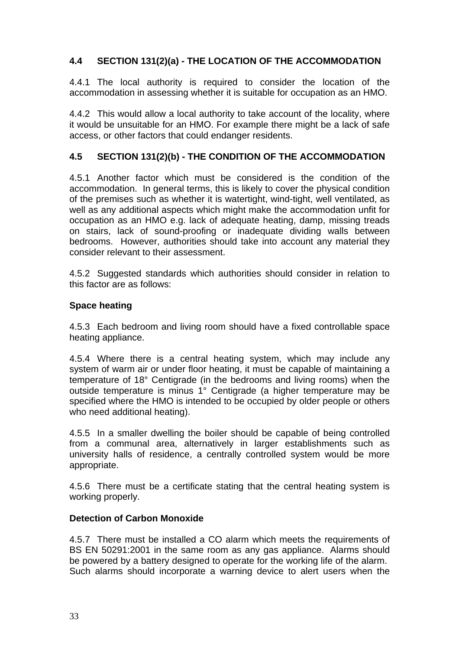# **4.4 SECTION 131(2)(a) - THE LOCATION OF THE ACCOMMODATION**

4.4.1 The local authority is required to consider the location of the accommodation in assessing whether it is suitable for occupation as an HMO.

4.4.2 This would allow a local authority to take account of the locality, where it would be unsuitable for an HMO. For example there might be a lack of safe access, or other factors that could endanger residents.

# **4.5 SECTION 131(2)(b) - THE CONDITION OF THE ACCOMMODATION**

4.5.1 Another factor which must be considered is the condition of the accommodation. In general terms, this is likely to cover the physical condition of the premises such as whether it is watertight, wind-tight, well ventilated, as well as any additional aspects which might make the accommodation unfit for occupation as an HMO e.g. lack of adequate heating, damp, missing treads on stairs, lack of sound-proofing or inadequate dividing walls between bedrooms. However, authorities should take into account any material they consider relevant to their assessment.

4.5.2 Suggested standards which authorities should consider in relation to this factor are as follows:

#### **Space heating**

4.5.3 Each bedroom and living room should have a fixed controllable space heating appliance.

4.5.4 Where there is a central heating system, which may include any system of warm air or under floor heating, it must be capable of maintaining a temperature of 18° Centigrade (in the bedrooms and living rooms) when the outside temperature is minus 1° Centigrade (a higher temperature may be specified where the HMO is intended to be occupied by older people or others who need additional heating).

4.5.5 In a smaller dwelling the boiler should be capable of being controlled from a communal area, alternatively in larger establishments such as university halls of residence, a centrally controlled system would be more appropriate.

4.5.6 There must be a certificate stating that the central heating system is working properly.

#### **Detection of Carbon Monoxide**

4.5.7 There must be installed a CO alarm which meets the requirements of BS EN 50291:2001 in the same room as any gas appliance. Alarms should be powered by a battery designed to operate for the working life of the alarm. Such alarms should incorporate a warning device to alert users when the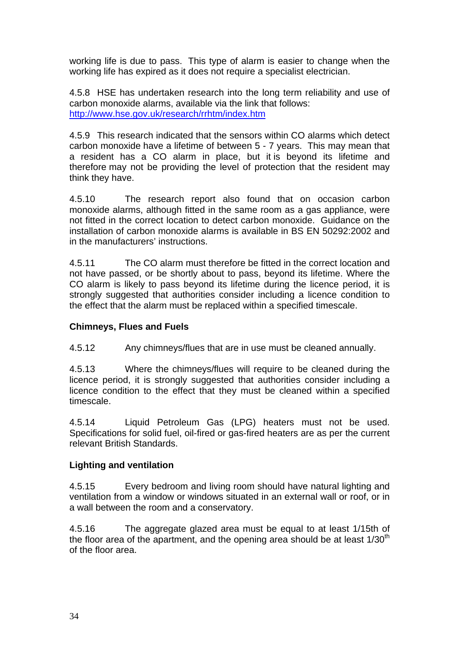working life is due to pass. This type of alarm is easier to change when the working life has expired as it does not require a specialist electrician.

4.5.8 HSE has undertaken research into the long term reliability and use of carbon monoxide alarms, available via the link that follows: http://www.hse.gov.uk/research/rrhtm/index.htm

4.5.9 This research indicated that the sensors within CO alarms which detect carbon monoxide have a lifetime of between 5 - 7 years. This may mean that a resident has a CO alarm in place, but it is beyond its lifetime and therefore may not be providing the level of protection that the resident may think they have.

4.5.10 The research report also found that on occasion carbon monoxide alarms, although fitted in the same room as a gas appliance, were not fitted in the correct location to detect carbon monoxide. Guidance on the installation of carbon monoxide alarms is available in BS EN 50292:2002 and in the manufacturers' instructions.

4.5.11 The CO alarm must therefore be fitted in the correct location and not have passed, or be shortly about to pass, beyond its lifetime. Where the CO alarm is likely to pass beyond its lifetime during the licence period, it is strongly suggested that authorities consider including a licence condition to the effect that the alarm must be replaced within a specified timescale.

#### **Chimneys, Flues and Fuels**

4.5.12 Any chimneys/flues that are in use must be cleaned annually.

4.5.13 Where the chimneys/flues will require to be cleaned during the licence period, it is strongly suggested that authorities consider including a licence condition to the effect that they must be cleaned within a specified timescale.

4.5.14 Liquid Petroleum Gas (LPG) heaters must not be used. Specifications for solid fuel, oil-fired or gas-fired heaters are as per the current relevant British Standards.

# **Lighting and ventilation**

4.5.15 Every bedroom and living room should have natural lighting and ventilation from a window or windows situated in an external wall or roof, or in a wall between the room and a conservatory.

4.5.16 The aggregate glazed area must be equal to at least 1/15th of the floor area of the apartment, and the opening area should be at least  $1/30<sup>th</sup>$ of the floor area.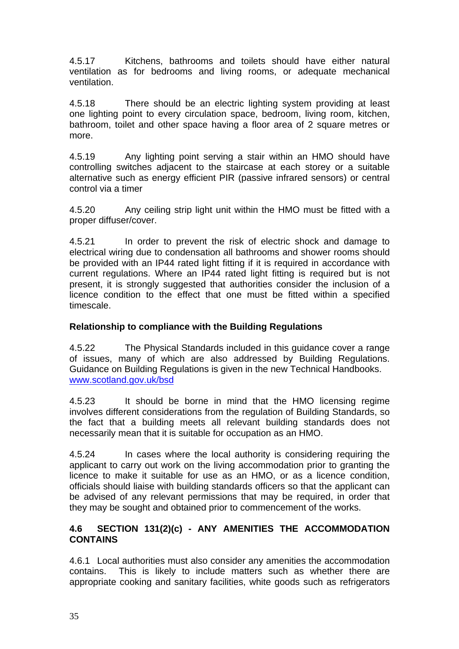4.5.17 Kitchens, bathrooms and toilets should have either natural ventilation as for bedrooms and living rooms, or adequate mechanical ventilation.

4.5.18 There should be an electric lighting system providing at least one lighting point to every circulation space, bedroom, living room, kitchen, bathroom, toilet and other space having a floor area of 2 square metres or more.

4.5.19 Any lighting point serving a stair within an HMO should have controlling switches adjacent to the staircase at each storey or a suitable alternative such as energy efficient PIR (passive infrared sensors) or central control via a timer

4.5.20 Any ceiling strip light unit within the HMO must be fitted with a proper diffuser/cover.

4.5.21 In order to prevent the risk of electric shock and damage to electrical wiring due to condensation all bathrooms and shower rooms should be provided with an IP44 rated light fitting if it is required in accordance with current regulations. Where an IP44 rated light fitting is required but is not present, it is strongly suggested that authorities consider the inclusion of a licence condition to the effect that one must be fitted within a specified timescale.

#### **Relationship to compliance with the Building Regulations**

4.5.22 The Physical Standards included in this guidance cover a range of issues, many of which are also addressed by Building Regulations. Guidance on Building Regulations is given in the new Technical Handbooks. www.scotland.gov.uk/bsd

4.5.23 It should be borne in mind that the HMO licensing regime involves different considerations from the regulation of Building Standards, so the fact that a building meets all relevant building standards does not necessarily mean that it is suitable for occupation as an HMO.

4.5.24 In cases where the local authority is considering requiring the applicant to carry out work on the living accommodation prior to granting the licence to make it suitable for use as an HMO, or as a licence condition, officials should liaise with building standards officers so that the applicant can be advised of any relevant permissions that may be required, in order that they may be sought and obtained prior to commencement of the works.

### **4.6 SECTION 131(2)(c) - ANY AMENITIES THE ACCOMMODATION CONTAINS**

4.6.1 Local authorities must also consider any amenities the accommodation contains. This is likely to include matters such as whether there are appropriate cooking and sanitary facilities, white goods such as refrigerators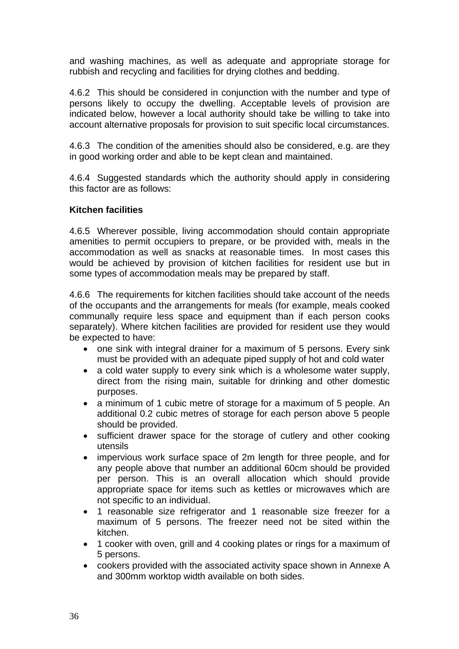and washing machines, as well as adequate and appropriate storage for rubbish and recycling and facilities for drying clothes and bedding.

4.6.2 This should be considered in conjunction with the number and type of persons likely to occupy the dwelling. Acceptable levels of provision are indicated below, however a local authority should take be willing to take into account alternative proposals for provision to suit specific local circumstances.

4.6.3 The condition of the amenities should also be considered, e.g. are they in good working order and able to be kept clean and maintained.

4.6.4 Suggested standards which the authority should apply in considering this factor are as follows:

### **Kitchen facilities**

4.6.5 Wherever possible, living accommodation should contain appropriate amenities to permit occupiers to prepare, or be provided with, meals in the accommodation as well as snacks at reasonable times. In most cases this would be achieved by provision of kitchen facilities for resident use but in some types of accommodation meals may be prepared by staff.

4.6.6 The requirements for kitchen facilities should take account of the needs of the occupants and the arrangements for meals (for example, meals cooked communally require less space and equipment than if each person cooks separately). Where kitchen facilities are provided for resident use they would be expected to have:

- one sink with integral drainer for a maximum of 5 persons. Every sink must be provided with an adequate piped supply of hot and cold water
- a cold water supply to every sink which is a wholesome water supply, direct from the rising main, suitable for drinking and other domestic purposes.
- a minimum of 1 cubic metre of storage for a maximum of 5 people. An additional 0.2 cubic metres of storage for each person above 5 people should be provided.
- sufficient drawer space for the storage of cutlery and other cooking utensils
- impervious work surface space of 2m length for three people, and for any people above that number an additional 60cm should be provided per person. This is an overall allocation which should provide appropriate space for items such as kettles or microwaves which are not specific to an individual.
- 1 reasonable size refrigerator and 1 reasonable size freezer for a maximum of 5 persons. The freezer need not be sited within the kitchen.
- 1 cooker with oven, grill and 4 cooking plates or rings for a maximum of 5 persons.
- cookers provided with the associated activity space shown in Annexe A and 300mm worktop width available on both sides.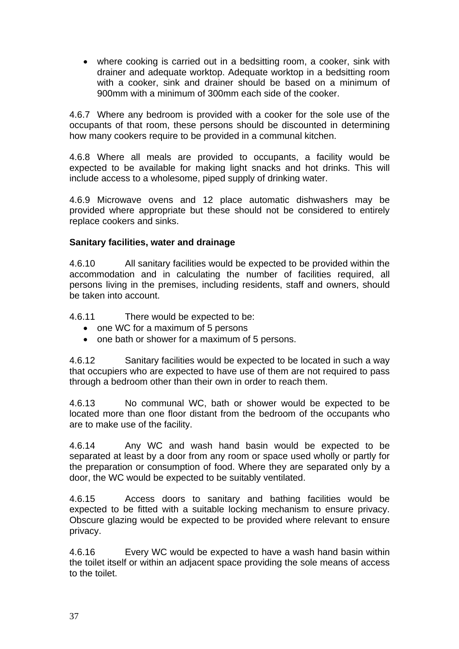• where cooking is carried out in a bedsitting room, a cooker, sink with drainer and adequate worktop. Adequate worktop in a bedsitting room with a cooker, sink and drainer should be based on a minimum of 900mm with a minimum of 300mm each side of the cooker.

4.6.7 Where any bedroom is provided with a cooker for the sole use of the occupants of that room, these persons should be discounted in determining how many cookers require to be provided in a communal kitchen.

4.6.8 Where all meals are provided to occupants, a facility would be expected to be available for making light snacks and hot drinks. This will include access to a wholesome, piped supply of drinking water.

4.6.9 Microwave ovens and 12 place automatic dishwashers may be provided where appropriate but these should not be considered to entirely replace cookers and sinks.

#### **Sanitary facilities, water and drainage**

4.6.10 All sanitary facilities would be expected to be provided within the accommodation and in calculating the number of facilities required, all persons living in the premises, including residents, staff and owners, should be taken into account.

4.6.11 There would be expected to be:

- one WC for a maximum of 5 persons
- one bath or shower for a maximum of 5 persons.

4.6.12 Sanitary facilities would be expected to be located in such a way that occupiers who are expected to have use of them are not required to pass through a bedroom other than their own in order to reach them.

4.6.13 No communal WC, bath or shower would be expected to be located more than one floor distant from the bedroom of the occupants who are to make use of the facility.

4.6.14 Any WC and wash hand basin would be expected to be separated at least by a door from any room or space used wholly or partly for the preparation or consumption of food. Where they are separated only by a door, the WC would be expected to be suitably ventilated.

4.6.15 Access doors to sanitary and bathing facilities would be expected to be fitted with a suitable locking mechanism to ensure privacy. Obscure glazing would be expected to be provided where relevant to ensure privacy.

4.6.16 Every WC would be expected to have a wash hand basin within the toilet itself or within an adjacent space providing the sole means of access to the toilet.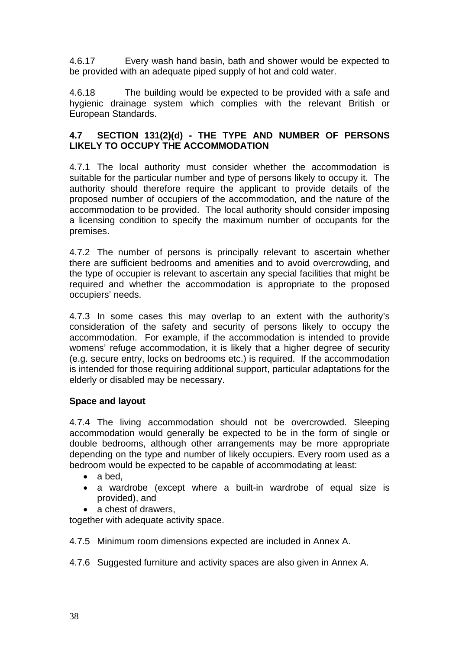4.6.17 Every wash hand basin, bath and shower would be expected to be provided with an adequate piped supply of hot and cold water.

4.6.18 The building would be expected to be provided with a safe and hygienic drainage system which complies with the relevant British or European Standards.

## **4.7 SECTION 131(2)(d) - THE TYPE AND NUMBER OF PERSONS LIKELY TO OCCUPY THE ACCOMMODATION**

4.7.1 The local authority must consider whether the accommodation is suitable for the particular number and type of persons likely to occupy it. The authority should therefore require the applicant to provide details of the proposed number of occupiers of the accommodation, and the nature of the accommodation to be provided. The local authority should consider imposing a licensing condition to specify the maximum number of occupants for the premises.

4.7.2 The number of persons is principally relevant to ascertain whether there are sufficient bedrooms and amenities and to avoid overcrowding, and the type of occupier is relevant to ascertain any special facilities that might be required and whether the accommodation is appropriate to the proposed occupiers' needs.

4.7.3 In some cases this may overlap to an extent with the authority's consideration of the safety and security of persons likely to occupy the accommodation. For example, if the accommodation is intended to provide womens' refuge accommodation, it is likely that a higher degree of security (e.g. secure entry, locks on bedrooms etc.) is required. If the accommodation is intended for those requiring additional support, particular adaptations for the elderly or disabled may be necessary.

# **Space and layout**

4.7.4 The living accommodation should not be overcrowded. Sleeping accommodation would generally be expected to be in the form of single or double bedrooms, although other arrangements may be more appropriate depending on the type and number of likely occupiers. Every room used as a bedroom would be expected to be capable of accommodating at least:

- a bed,
- a wardrobe (except where a built-in wardrobe of equal size is provided), and
- a chest of drawers,

together with adequate activity space.

4.7.5 Minimum room dimensions expected are included in Annex A.

4.7.6 Suggested furniture and activity spaces are also given in Annex A.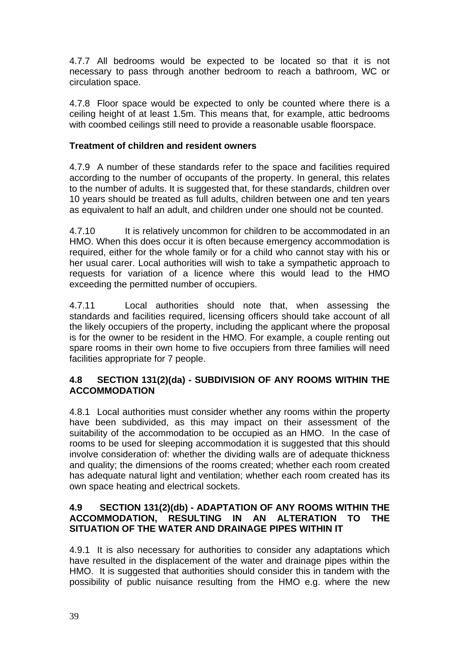4.7.7 All bedrooms would be expected to be located so that it is not necessary to pass through another bedroom to reach a bathroom, WC or circulation space.

4.7.8 Floor space would be expected to only be counted where there is a ceiling height of at least 1.5m. This means that, for example, attic bedrooms with coombed ceilings still need to provide a reasonable usable floorspace.

# **Treatment of children and resident owners**

4.7.9 A number of these standards refer to the space and facilities required according to the number of occupants of the property. In general, this relates to the number of adults. It is suggested that, for these standards, children over 10 years should be treated as full adults, children between one and ten years as equivalent to half an adult, and children under one should not be counted.

4.7.10 It is relatively uncommon for children to be accommodated in an HMO. When this does occur it is often because emergency accommodation is required, either for the whole family or for a child who cannot stay with his or her usual carer. Local authorities will wish to take a sympathetic approach to requests for variation of a licence where this would lead to the HMO exceeding the permitted number of occupiers.

4.7.11 Local authorities should note that, when assessing the standards and facilities required, licensing officers should take account of all the likely occupiers of the property, including the applicant where the proposal is for the owner to be resident in the HMO. For example, a couple renting out spare rooms in their own home to five occupiers from three families will need facilities appropriate for 7 people.

# **4.8 SECTION 131(2)(da) - SUBDIVISION OF ANY ROOMS WITHIN THE ACCOMMODATION**

4.8.1 Local authorities must consider whether any rooms within the property have been subdivided, as this may impact on their assessment of the suitability of the accommodation to be occupied as an HMO. In the case of rooms to be used for sleeping accommodation it is suggested that this should involve consideration of: whether the dividing walls are of adequate thickness and quality; the dimensions of the rooms created; whether each room created has adequate natural light and ventilation; whether each room created has its own space heating and electrical sockets.

# **4.9 SECTION 131(2)(db) - ADAPTATION OF ANY ROOMS WITHIN THE ACCOMMODATION, RESULTING IN AN ALTERATION TO THE SITUATION OF THE WATER AND DRAINAGE PIPES WITHIN IT**

4.9.1 It is also necessary for authorities to consider any adaptations which have resulted in the displacement of the water and drainage pipes within the HMO. It is suggested that authorities should consider this in tandem with the possibility of public nuisance resulting from the HMO e.g. where the new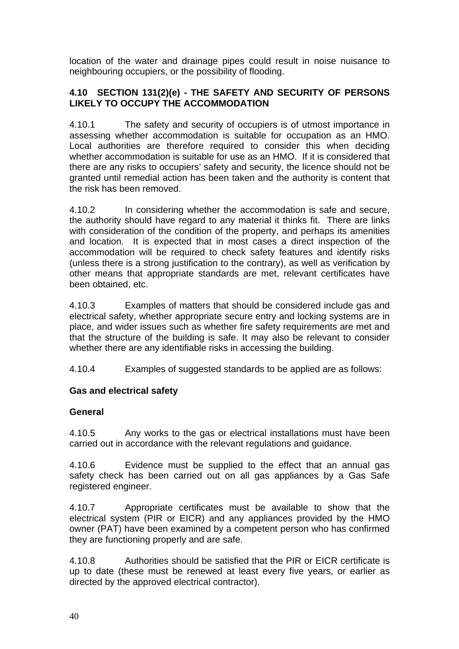location of the water and drainage pipes could result in noise nuisance to neighbouring occupiers, or the possibility of flooding.

# **4.10 SECTION 131(2)(e) - THE SAFETY AND SECURITY OF PERSONS LIKELY TO OCCUPY THE ACCOMMODATION**

4.10.1 The safety and security of occupiers is of utmost importance in assessing whether accommodation is suitable for occupation as an HMO. Local authorities are therefore required to consider this when deciding whether accommodation is suitable for use as an HMO. If it is considered that there are any risks to occupiers' safety and security, the licence should not be granted until remedial action has been taken and the authority is content that the risk has been removed.

4.10.2 In considering whether the accommodation is safe and secure, the authority should have regard to any material it thinks fit. There are links with consideration of the condition of the property, and perhaps its amenities and location. It is expected that in most cases a direct inspection of the accommodation will be required to check safety features and identify risks (unless there is a strong justification to the contrary), as well as verification by other means that appropriate standards are met, relevant certificates have been obtained, etc.

4.10.3 Examples of matters that should be considered include gas and electrical safety, whether appropriate secure entry and locking systems are in place, and wider issues such as whether fire safety requirements are met and that the structure of the building is safe. It may also be relevant to consider whether there are any identifiable risks in accessing the building.

4.10.4 Examples of suggested standards to be applied are as follows:

# **Gas and electrical safety**

# **General**

4.10.5 Any works to the gas or electrical installations must have been carried out in accordance with the relevant regulations and guidance.

4.10.6 Evidence must be supplied to the effect that an annual gas safety check has been carried out on all gas appliances by a Gas Safe registered engineer.

4.10.7 Appropriate certificates must be available to show that the electrical system (PIR or EICR) and any appliances provided by the HMO owner (PAT) have been examined by a competent person who has confirmed they are functioning properly and are safe.

4.10.8 Authorities should be satisfied that the PIR or EICR certificate is up to date (these must be renewed at least every five years, or earlier as directed by the approved electrical contractor).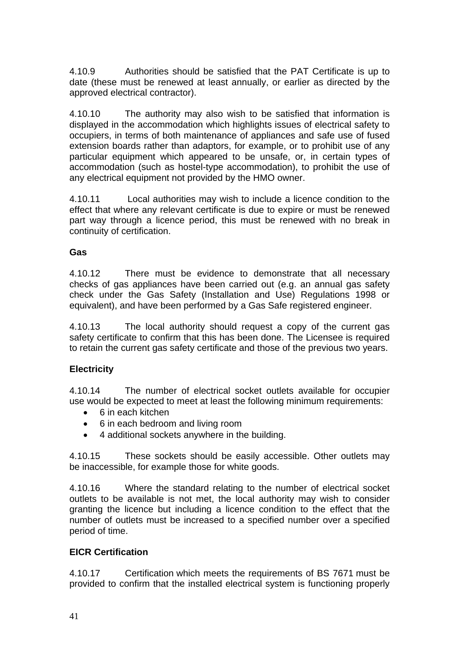4.10.9 Authorities should be satisfied that the PAT Certificate is up to date (these must be renewed at least annually, or earlier as directed by the approved electrical contractor).

4.10.10 The authority may also wish to be satisfied that information is displayed in the accommodation which highlights issues of electrical safety to occupiers, in terms of both maintenance of appliances and safe use of fused extension boards rather than adaptors, for example, or to prohibit use of any particular equipment which appeared to be unsafe, or, in certain types of accommodation (such as hostel-type accommodation), to prohibit the use of any electrical equipment not provided by the HMO owner.

4.10.11 Local authorities may wish to include a licence condition to the effect that where any relevant certificate is due to expire or must be renewed part way through a licence period, this must be renewed with no break in continuity of certification.

### **Gas**

4.10.12 There must be evidence to demonstrate that all necessary checks of gas appliances have been carried out (e.g. an annual gas safety check under the Gas Safety (Installation and Use) Regulations 1998 or equivalent), and have been performed by a Gas Safe registered engineer.

4.10.13 The local authority should request a copy of the current gas safety certificate to confirm that this has been done. The Licensee is required to retain the current gas safety certificate and those of the previous two years.

# **Electricity**

4.10.14 The number of electrical socket outlets available for occupier use would be expected to meet at least the following minimum requirements:

- 6 in each kitchen
- 6 in each bedroom and living room
- 4 additional sockets anywhere in the building.

4.10.15 These sockets should be easily accessible. Other outlets may be inaccessible, for example those for white goods.

4.10.16 Where the standard relating to the number of electrical socket outlets to be available is not met, the local authority may wish to consider granting the licence but including a licence condition to the effect that the number of outlets must be increased to a specified number over a specified period of time.

# **EICR Certification**

4.10.17 Certification which meets the requirements of BS 7671 must be provided to confirm that the installed electrical system is functioning properly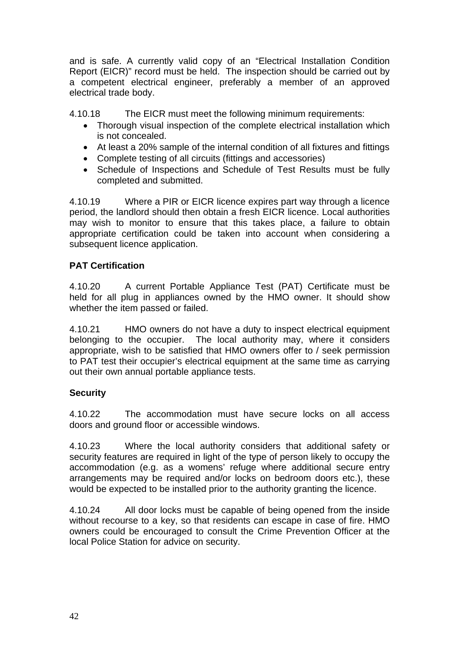and is safe. A currently valid copy of an "Electrical Installation Condition Report (EICR)" record must be held. The inspection should be carried out by a competent electrical engineer, preferably a member of an approved electrical trade body.

4.10.18 The EICR must meet the following minimum requirements:

- Thorough visual inspection of the complete electrical installation which is not concealed.
- At least a 20% sample of the internal condition of all fixtures and fittings
- Complete testing of all circuits (fittings and accessories)
- Schedule of Inspections and Schedule of Test Results must be fully completed and submitted.

4.10.19 Where a PIR or EICR licence expires part way through a licence period, the landlord should then obtain a fresh EICR licence. Local authorities may wish to monitor to ensure that this takes place, a failure to obtain appropriate certification could be taken into account when considering a subsequent licence application.

# **PAT Certification**

4.10.20 A current Portable Appliance Test (PAT) Certificate must be held for all plug in appliances owned by the HMO owner. It should show whether the item passed or failed.

4.10.21 HMO owners do not have a duty to inspect electrical equipment belonging to the occupier. The local authority may, where it considers appropriate, wish to be satisfied that HMO owners offer to / seek permission to PAT test their occupier's electrical equipment at the same time as carrying out their own annual portable appliance tests.

# **Security**

4.10.22 The accommodation must have secure locks on all access doors and ground floor or accessible windows.

4.10.23 Where the local authority considers that additional safety or security features are required in light of the type of person likely to occupy the accommodation (e.g. as a womens' refuge where additional secure entry arrangements may be required and/or locks on bedroom doors etc.), these would be expected to be installed prior to the authority granting the licence.

4.10.24 All door locks must be capable of being opened from the inside without recourse to a key, so that residents can escape in case of fire. HMO owners could be encouraged to consult the Crime Prevention Officer at the local Police Station for advice on security.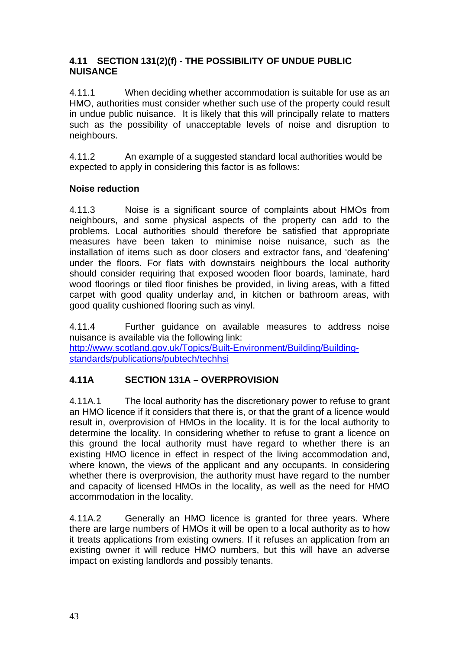### **4.11 SECTION 131(2)(f) - THE POSSIBILITY OF UNDUE PUBLIC NUISANCE**

4.11.1 When deciding whether accommodation is suitable for use as an HMO, authorities must consider whether such use of the property could result in undue public nuisance. It is likely that this will principally relate to matters such as the possibility of unacceptable levels of noise and disruption to neighbours.

4.11.2 An example of a suggested standard local authorities would be expected to apply in considering this factor is as follows:

# **Noise reduction**

4.11.3 Noise is a significant source of complaints about HMOs from neighbours, and some physical aspects of the property can add to the problems. Local authorities should therefore be satisfied that appropriate measures have been taken to minimise noise nuisance, such as the installation of items such as door closers and extractor fans, and 'deafening' under the floors. For flats with downstairs neighbours the local authority should consider requiring that exposed wooden floor boards, laminate, hard wood floorings or tiled floor finishes be provided, in living areas, with a fitted carpet with good quality underlay and, in kitchen or bathroom areas, with good quality cushioned flooring such as vinyl.

4.11.4 Further guidance on available measures to address noise nuisance is available via the following link: http://www.scotland.gov.uk/Topics/Built-Environment/Building/Buildingstandards/publications/pubtech/techhsi

# **4.11A SECTION 131A – OVERPROVISION**

4.11A.1 The local authority has the discretionary power to refuse to grant an HMO licence if it considers that there is, or that the grant of a licence would result in, overprovision of HMOs in the locality. It is for the local authority to determine the locality. In considering whether to refuse to grant a licence on this ground the local authority must have regard to whether there is an existing HMO licence in effect in respect of the living accommodation and, where known, the views of the applicant and any occupants. In considering whether there is overprovision, the authority must have regard to the number and capacity of licensed HMOs in the locality, as well as the need for HMO accommodation in the locality.

4.11A.2 Generally an HMO licence is granted for three years. Where there are large numbers of HMOs it will be open to a local authority as to how it treats applications from existing owners. If it refuses an application from an existing owner it will reduce HMO numbers, but this will have an adverse impact on existing landlords and possibly tenants.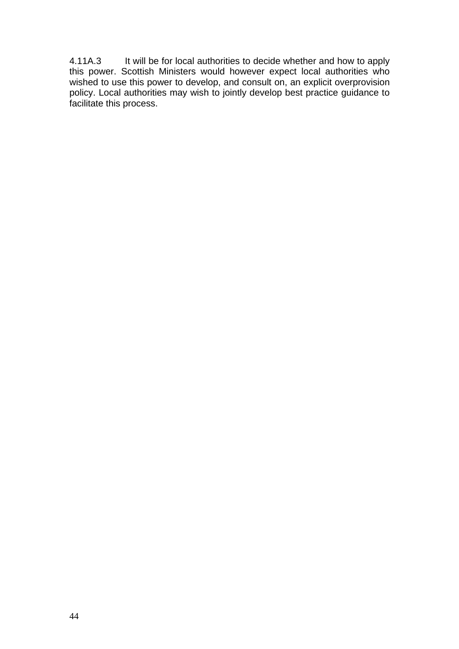4.11A.3 It will be for local authorities to decide whether and how to apply this power. Scottish Ministers would however expect local authorities who wished to use this power to develop, and consult on, an explicit overprovision policy. Local authorities may wish to jointly develop best practice guidance to facilitate this process.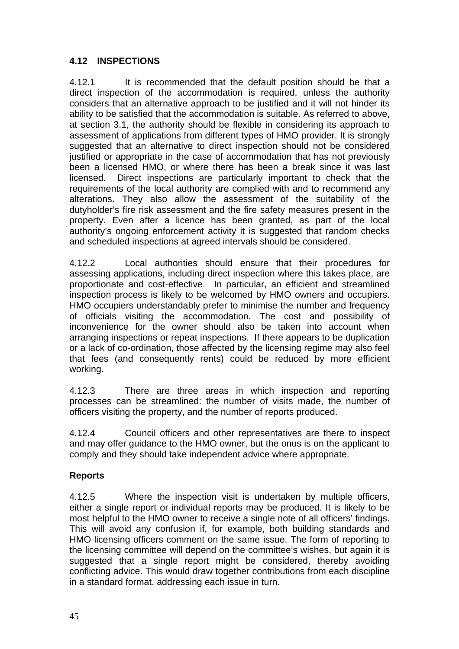# **4.12 INSPECTIONS**

4.12.1 It is recommended that the default position should be that a direct inspection of the accommodation is required, unless the authority considers that an alternative approach to be justified and it will not hinder its ability to be satisfied that the accommodation is suitable. As referred to above, at section 3.1, the authority should be flexible in considering its approach to assessment of applications from different types of HMO provider. It is strongly suggested that an alternative to direct inspection should not be considered justified or appropriate in the case of accommodation that has not previously been a licensed HMO, or where there has been a break since it was last licensed. Direct inspections are particularly important to check that the requirements of the local authority are complied with and to recommend any alterations. They also allow the assessment of the suitability of the dutyholder's fire risk assessment and the fire safety measures present in the property. Even after a licence has been granted, as part of the local authority's ongoing enforcement activity it is suggested that random checks and scheduled inspections at agreed intervals should be considered.

4.12.2 Local authorities should ensure that their procedures for assessing applications, including direct inspection where this takes place, are proportionate and cost-effective. In particular, an efficient and streamlined inspection process is likely to be welcomed by HMO owners and occupiers. HMO occupiers understandably prefer to minimise the number and frequency of officials visiting the accommodation. The cost and possibility of inconvenience for the owner should also be taken into account when arranging inspections or repeat inspections. If there appears to be duplication or a lack of co-ordination, those affected by the licensing regime may also feel that fees (and consequently rents) could be reduced by more efficient working.

4.12.3 There are three areas in which inspection and reporting processes can be streamlined: the number of visits made, the number of officers visiting the property, and the number of reports produced.

4.12.4 Council officers and other representatives are there to inspect and may offer guidance to the HMO owner, but the onus is on the applicant to comply and they should take independent advice where appropriate.

# **Reports**

4.12.5 Where the inspection visit is undertaken by multiple officers, either a single report or individual reports may be produced. It is likely to be most helpful to the HMO owner to receive a single note of all officers' findings. This will avoid any confusion if, for example, both building standards and HMO licensing officers comment on the same issue. The form of reporting to the licensing committee will depend on the committee's wishes, but again it is suggested that a single report might be considered, thereby avoiding conflicting advice. This would draw together contributions from each discipline in a standard format, addressing each issue in turn.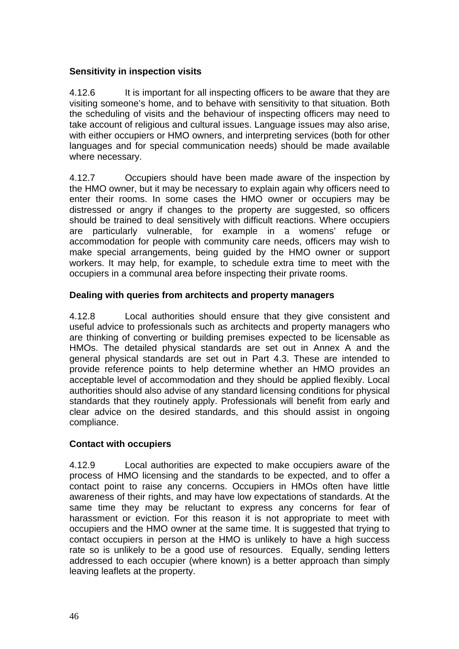# **Sensitivity in inspection visits**

4.12.6 It is important for all inspecting officers to be aware that they are visiting someone's home, and to behave with sensitivity to that situation. Both the scheduling of visits and the behaviour of inspecting officers may need to take account of religious and cultural issues. Language issues may also arise, with either occupiers or HMO owners, and interpreting services (both for other languages and for special communication needs) should be made available where necessary.

4.12.7 Occupiers should have been made aware of the inspection by the HMO owner, but it may be necessary to explain again why officers need to enter their rooms. In some cases the HMO owner or occupiers may be distressed or angry if changes to the property are suggested, so officers should be trained to deal sensitively with difficult reactions. Where occupiers are particularly vulnerable, for example in a womens' refuge or accommodation for people with community care needs, officers may wish to make special arrangements, being guided by the HMO owner or support workers. It may help, for example, to schedule extra time to meet with the occupiers in a communal area before inspecting their private rooms.

# **Dealing with queries from architects and property managers**

4.12.8 Local authorities should ensure that they give consistent and useful advice to professionals such as architects and property managers who are thinking of converting or building premises expected to be licensable as HMOs. The detailed physical standards are set out in Annex A and the general physical standards are set out in Part 4.3. These are intended to provide reference points to help determine whether an HMO provides an acceptable level of accommodation and they should be applied flexibly. Local authorities should also advise of any standard licensing conditions for physical standards that they routinely apply. Professionals will benefit from early and clear advice on the desired standards, and this should assist in ongoing compliance.

# **Contact with occupiers**

4.12.9 Local authorities are expected to make occupiers aware of the process of HMO licensing and the standards to be expected, and to offer a contact point to raise any concerns. Occupiers in HMOs often have little awareness of their rights, and may have low expectations of standards. At the same time they may be reluctant to express any concerns for fear of harassment or eviction. For this reason it is not appropriate to meet with occupiers and the HMO owner at the same time. It is suggested that trying to contact occupiers in person at the HMO is unlikely to have a high success rate so is unlikely to be a good use of resources. Equally, sending letters addressed to each occupier (where known) is a better approach than simply leaving leaflets at the property.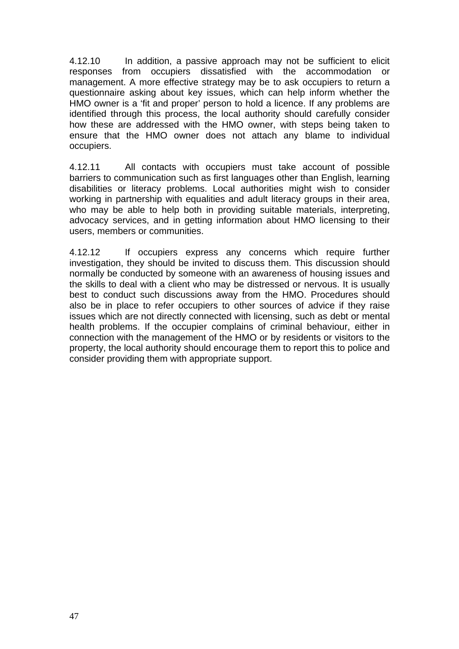4.12.10 In addition, a passive approach may not be sufficient to elicit responses from occupiers dissatisfied with the accommodation or management. A more effective strategy may be to ask occupiers to return a questionnaire asking about key issues, which can help inform whether the HMO owner is a 'fit and proper' person to hold a licence. If any problems are identified through this process, the local authority should carefully consider how these are addressed with the HMO owner, with steps being taken to ensure that the HMO owner does not attach any blame to individual occupiers.

4.12.11 All contacts with occupiers must take account of possible barriers to communication such as first languages other than English, learning disabilities or literacy problems. Local authorities might wish to consider working in partnership with equalities and adult literacy groups in their area, who may be able to help both in providing suitable materials, interpreting, advocacy services, and in getting information about HMO licensing to their users, members or communities.

4.12.12 If occupiers express any concerns which require further investigation, they should be invited to discuss them. This discussion should normally be conducted by someone with an awareness of housing issues and the skills to deal with a client who may be distressed or nervous. It is usually best to conduct such discussions away from the HMO. Procedures should also be in place to refer occupiers to other sources of advice if they raise issues which are not directly connected with licensing, such as debt or mental health problems. If the occupier complains of criminal behaviour, either in connection with the management of the HMO or by residents or visitors to the property, the local authority should encourage them to report this to police and consider providing them with appropriate support.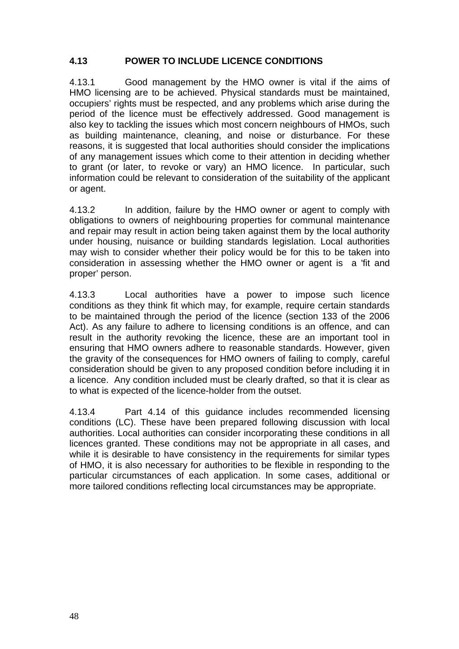# **4.13 POWER TO INCLUDE LICENCE CONDITIONS**

4.13.1 Good management by the HMO owner is vital if the aims of HMO licensing are to be achieved. Physical standards must be maintained, occupiers' rights must be respected, and any problems which arise during the period of the licence must be effectively addressed. Good management is also key to tackling the issues which most concern neighbours of HMOs, such as building maintenance, cleaning, and noise or disturbance. For these reasons, it is suggested that local authorities should consider the implications of any management issues which come to their attention in deciding whether to grant (or later, to revoke or vary) an HMO licence. In particular, such information could be relevant to consideration of the suitability of the applicant or agent.

4.13.2 In addition, failure by the HMO owner or agent to comply with obligations to owners of neighbouring properties for communal maintenance and repair may result in action being taken against them by the local authority under housing, nuisance or building standards legislation. Local authorities may wish to consider whether their policy would be for this to be taken into consideration in assessing whether the HMO owner or agent is a 'fit and proper' person.

4.13.3 Local authorities have a power to impose such licence conditions as they think fit which may, for example, require certain standards to be maintained through the period of the licence (section 133 of the 2006 Act). As any failure to adhere to licensing conditions is an offence, and can result in the authority revoking the licence, these are an important tool in ensuring that HMO owners adhere to reasonable standards. However, given the gravity of the consequences for HMO owners of failing to comply, careful consideration should be given to any proposed condition before including it in a licence. Any condition included must be clearly drafted, so that it is clear as to what is expected of the licence-holder from the outset.

4.13.4 Part 4.14 of this guidance includes recommended licensing conditions (LC). These have been prepared following discussion with local authorities. Local authorities can consider incorporating these conditions in all licences granted. These conditions may not be appropriate in all cases, and while it is desirable to have consistency in the requirements for similar types of HMO, it is also necessary for authorities to be flexible in responding to the particular circumstances of each application. In some cases, additional or more tailored conditions reflecting local circumstances may be appropriate.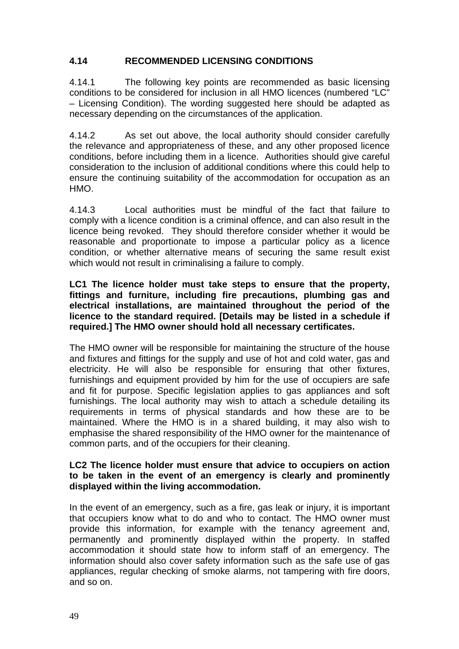## **4.14 RECOMMENDED LICENSING CONDITIONS**

4.14.1 The following key points are recommended as basic licensing conditions to be considered for inclusion in all HMO licences (numbered "LC" – Licensing Condition). The wording suggested here should be adapted as necessary depending on the circumstances of the application.

4.14.2 As set out above, the local authority should consider carefully the relevance and appropriateness of these, and any other proposed licence conditions, before including them in a licence. Authorities should give careful consideration to the inclusion of additional conditions where this could help to ensure the continuing suitability of the accommodation for occupation as an HMO.

4.14.3 Local authorities must be mindful of the fact that failure to comply with a licence condition is a criminal offence, and can also result in the licence being revoked. They should therefore consider whether it would be reasonable and proportionate to impose a particular policy as a licence condition, or whether alternative means of securing the same result exist which would not result in criminalising a failure to comply.

#### **LC1 The licence holder must take steps to ensure that the property, fittings and furniture, including fire precautions, plumbing gas and electrical installations, are maintained throughout the period of the licence to the standard required. [Details may be listed in a schedule if required.] The HMO owner should hold all necessary certificates.**

The HMO owner will be responsible for maintaining the structure of the house and fixtures and fittings for the supply and use of hot and cold water, gas and electricity. He will also be responsible for ensuring that other fixtures, furnishings and equipment provided by him for the use of occupiers are safe and fit for purpose. Specific legislation applies to gas appliances and soft furnishings. The local authority may wish to attach a schedule detailing its requirements in terms of physical standards and how these are to be maintained. Where the HMO is in a shared building, it may also wish to emphasise the shared responsibility of the HMO owner for the maintenance of common parts, and of the occupiers for their cleaning.

#### **LC2 The licence holder must ensure that advice to occupiers on action to be taken in the event of an emergency is clearly and prominently displayed within the living accommodation.**

In the event of an emergency, such as a fire, gas leak or injury, it is important that occupiers know what to do and who to contact. The HMO owner must provide this information, for example with the tenancy agreement and, permanently and prominently displayed within the property. In staffed accommodation it should state how to inform staff of an emergency. The information should also cover safety information such as the safe use of gas appliances, regular checking of smoke alarms, not tampering with fire doors, and so on.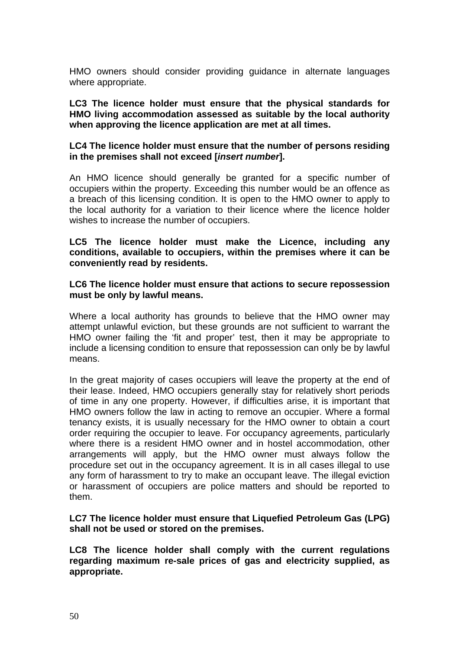HMO owners should consider providing guidance in alternate languages where appropriate.

**LC3 The licence holder must ensure that the physical standards for HMO living accommodation assessed as suitable by the local authority when approving the licence application are met at all times.** 

#### **LC4 The licence holder must ensure that the number of persons residing in the premises shall not exceed [***insert number***].**

An HMO licence should generally be granted for a specific number of occupiers within the property. Exceeding this number would be an offence as a breach of this licensing condition. It is open to the HMO owner to apply to the local authority for a variation to their licence where the licence holder wishes to increase the number of occupiers.

#### **LC5 The licence holder must make the Licence, including any conditions, available to occupiers, within the premises where it can be conveniently read by residents.**

#### **LC6 The licence holder must ensure that actions to secure repossession must be only by lawful means.**

Where a local authority has grounds to believe that the HMO owner may attempt unlawful eviction, but these grounds are not sufficient to warrant the HMO owner failing the 'fit and proper' test, then it may be appropriate to include a licensing condition to ensure that repossession can only be by lawful means.

In the great majority of cases occupiers will leave the property at the end of their lease. Indeed, HMO occupiers generally stay for relatively short periods of time in any one property. However, if difficulties arise, it is important that HMO owners follow the law in acting to remove an occupier. Where a formal tenancy exists, it is usually necessary for the HMO owner to obtain a court order requiring the occupier to leave. For occupancy agreements, particularly where there is a resident HMO owner and in hostel accommodation, other arrangements will apply, but the HMO owner must always follow the procedure set out in the occupancy agreement. It is in all cases illegal to use any form of harassment to try to make an occupant leave. The illegal eviction or harassment of occupiers are police matters and should be reported to them.

#### **LC7 The licence holder must ensure that Liquefied Petroleum Gas (LPG) shall not be used or stored on the premises.**

**LC8 The licence holder shall comply with the current regulations regarding maximum re-sale prices of gas and electricity supplied, as appropriate.**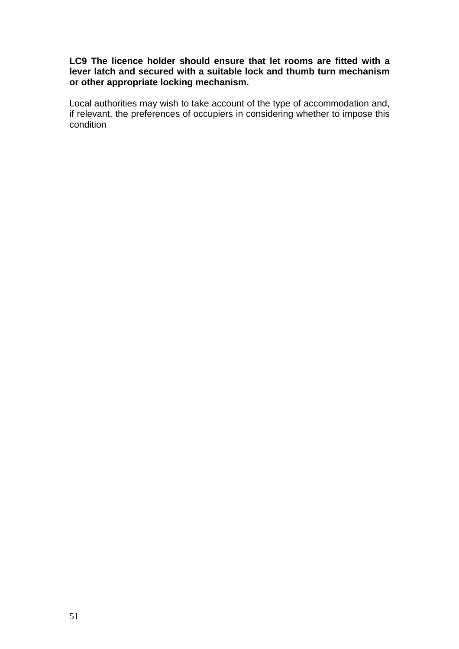#### **LC9 The licence holder should ensure that let rooms are fitted with a lever latch and secured with a suitable lock and thumb turn mechanism or other appropriate locking mechanism.**

Local authorities may wish to take account of the type of accommodation and, if relevant, the preferences of occupiers in considering whether to impose this condition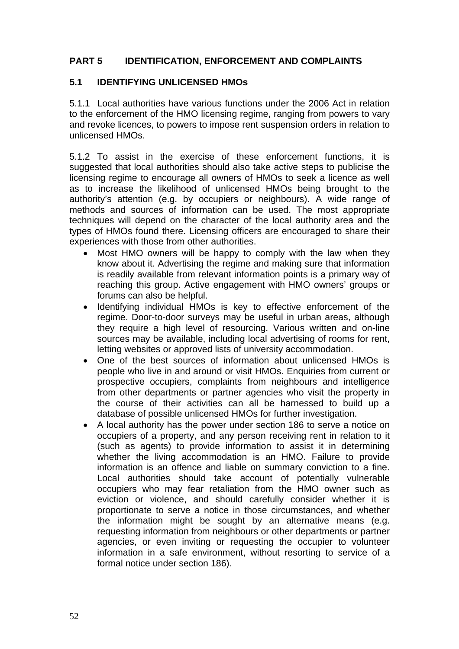# **PART 5 IDENTIFICATION, ENFORCEMENT AND COMPLAINTS**

#### **5.1 IDENTIFYING UNLICENSED HMOs**

5.1.1 Local authorities have various functions under the 2006 Act in relation to the enforcement of the HMO licensing regime, ranging from powers to vary and revoke licences, to powers to impose rent suspension orders in relation to unlicensed HMOs.

5.1.2 To assist in the exercise of these enforcement functions, it is suggested that local authorities should also take active steps to publicise the licensing regime to encourage all owners of HMOs to seek a licence as well as to increase the likelihood of unlicensed HMOs being brought to the authority's attention (e.g. by occupiers or neighbours). A wide range of methods and sources of information can be used. The most appropriate techniques will depend on the character of the local authority area and the types of HMOs found there. Licensing officers are encouraged to share their experiences with those from other authorities.

- Most HMO owners will be happy to comply with the law when they know about it. Advertising the regime and making sure that information is readily available from relevant information points is a primary way of reaching this group. Active engagement with HMO owners' groups or forums can also be helpful.
- Identifying individual HMOs is key to effective enforcement of the regime. Door-to-door surveys may be useful in urban areas, although they require a high level of resourcing. Various written and on-line sources may be available, including local advertising of rooms for rent, letting websites or approved lists of university accommodation.
- One of the best sources of information about unlicensed HMOs is people who live in and around or visit HMOs. Enquiries from current or prospective occupiers, complaints from neighbours and intelligence from other departments or partner agencies who visit the property in the course of their activities can all be harnessed to build up a database of possible unlicensed HMOs for further investigation.
- A local authority has the power under section 186 to serve a notice on occupiers of a property, and any person receiving rent in relation to it (such as agents) to provide information to assist it in determining whether the living accommodation is an HMO. Failure to provide information is an offence and liable on summary conviction to a fine. Local authorities should take account of potentially vulnerable occupiers who may fear retaliation from the HMO owner such as eviction or violence, and should carefully consider whether it is proportionate to serve a notice in those circumstances, and whether the information might be sought by an alternative means (e.g. requesting information from neighbours or other departments or partner agencies, or even inviting or requesting the occupier to volunteer information in a safe environment, without resorting to service of a formal notice under section 186).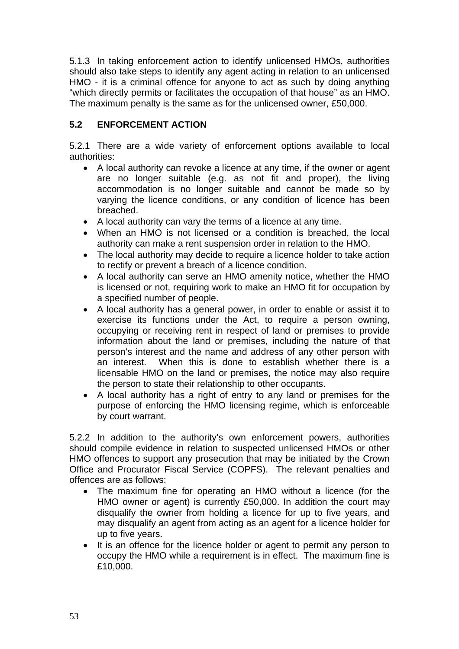5.1.3 In taking enforcement action to identify unlicensed HMOs, authorities should also take steps to identify any agent acting in relation to an unlicensed HMO - it is a criminal offence for anyone to act as such by doing anything "which directly permits or facilitates the occupation of that house" as an HMO. The maximum penalty is the same as for the unlicensed owner, £50,000.

# **5.2 ENFORCEMENT ACTION**

5.2.1 There are a wide variety of enforcement options available to local authorities:

- A local authority can revoke a licence at any time, if the owner or agent are no longer suitable (e.g. as not fit and proper), the living accommodation is no longer suitable and cannot be made so by varying the licence conditions, or any condition of licence has been breached.
- A local authority can vary the terms of a licence at any time.
- When an HMO is not licensed or a condition is breached, the local authority can make a rent suspension order in relation to the HMO.
- The local authority may decide to require a licence holder to take action to rectify or prevent a breach of a licence condition.
- A local authority can serve an HMO amenity notice, whether the HMO is licensed or not, requiring work to make an HMO fit for occupation by a specified number of people.
- A local authority has a general power, in order to enable or assist it to exercise its functions under the Act, to require a person owning, occupying or receiving rent in respect of land or premises to provide information about the land or premises, including the nature of that person's interest and the name and address of any other person with an interest. When this is done to establish whether there is a licensable HMO on the land or premises, the notice may also require the person to state their relationship to other occupants.
- A local authority has a right of entry to any land or premises for the purpose of enforcing the HMO licensing regime, which is enforceable by court warrant.

5.2.2 In addition to the authority's own enforcement powers, authorities should compile evidence in relation to suspected unlicensed HMOs or other HMO offences to support any prosecution that may be initiated by the Crown Office and Procurator Fiscal Service (COPFS). The relevant penalties and offences are as follows:

- The maximum fine for operating an HMO without a licence (for the HMO owner or agent) is currently £50,000. In addition the court may disqualify the owner from holding a licence for up to five years, and may disqualify an agent from acting as an agent for a licence holder for up to five years.
- It is an offence for the licence holder or agent to permit any person to occupy the HMO while a requirement is in effect. The maximum fine is £10,000.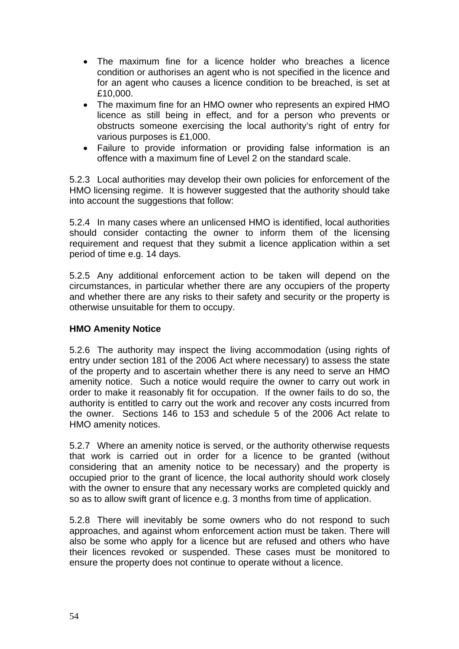- The maximum fine for a licence holder who breaches a licence condition or authorises an agent who is not specified in the licence and for an agent who causes a licence condition to be breached, is set at £10,000.
- The maximum fine for an HMO owner who represents an expired HMO licence as still being in effect, and for a person who prevents or obstructs someone exercising the local authority's right of entry for various purposes is £1,000.
- Failure to provide information or providing false information is an offence with a maximum fine of Level 2 on the standard scale.

5.2.3 Local authorities may develop their own policies for enforcement of the HMO licensing regime. It is however suggested that the authority should take into account the suggestions that follow:

5.2.4 In many cases where an unlicensed HMO is identified, local authorities should consider contacting the owner to inform them of the licensing requirement and request that they submit a licence application within a set period of time e.g. 14 days.

5.2.5 Any additional enforcement action to be taken will depend on the circumstances, in particular whether there are any occupiers of the property and whether there are any risks to their safety and security or the property is otherwise unsuitable for them to occupy.

#### **HMO Amenity Notice**

5.2.6 The authority may inspect the living accommodation (using rights of entry under section 181 of the 2006 Act where necessary) to assess the state of the property and to ascertain whether there is any need to serve an HMO amenity notice. Such a notice would require the owner to carry out work in order to make it reasonably fit for occupation. If the owner fails to do so, the authority is entitled to carry out the work and recover any costs incurred from the owner. Sections 146 to 153 and schedule 5 of the 2006 Act relate to HMO amenity notices.

5.2.7 Where an amenity notice is served, or the authority otherwise requests that work is carried out in order for a licence to be granted (without considering that an amenity notice to be necessary) and the property is occupied prior to the grant of licence, the local authority should work closely with the owner to ensure that any necessary works are completed quickly and so as to allow swift grant of licence e.g. 3 months from time of application.

5.2.8 There will inevitably be some owners who do not respond to such approaches, and against whom enforcement action must be taken. There will also be some who apply for a licence but are refused and others who have their licences revoked or suspended. These cases must be monitored to ensure the property does not continue to operate without a licence.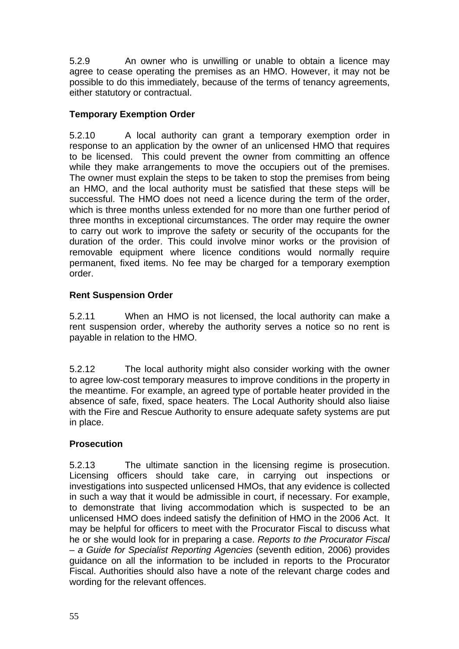5.2.9 An owner who is unwilling or unable to obtain a licence may agree to cease operating the premises as an HMO. However, it may not be possible to do this immediately, because of the terms of tenancy agreements, either statutory or contractual.

# **Temporary Exemption Order**

5.2.10 A local authority can grant a temporary exemption order in response to an application by the owner of an unlicensed HMO that requires to be licensed. This could prevent the owner from committing an offence while they make arrangements to move the occupiers out of the premises. The owner must explain the steps to be taken to stop the premises from being an HMO, and the local authority must be satisfied that these steps will be successful. The HMO does not need a licence during the term of the order, which is three months unless extended for no more than one further period of three months in exceptional circumstances. The order may require the owner to carry out work to improve the safety or security of the occupants for the duration of the order. This could involve minor works or the provision of removable equipment where licence conditions would normally require permanent, fixed items. No fee may be charged for a temporary exemption order.

# **Rent Suspension Order**

5.2.11 When an HMO is not licensed, the local authority can make a rent suspension order, whereby the authority serves a notice so no rent is payable in relation to the HMO.

5.2.12 The local authority might also consider working with the owner to agree low-cost temporary measures to improve conditions in the property in the meantime. For example, an agreed type of portable heater provided in the absence of safe, fixed, space heaters. The Local Authority should also liaise with the Fire and Rescue Authority to ensure adequate safety systems are put in place.

# **Prosecution**

5.2.13 The ultimate sanction in the licensing regime is prosecution. Licensing officers should take care, in carrying out inspections or investigations into suspected unlicensed HMOs, that any evidence is collected in such a way that it would be admissible in court, if necessary. For example, to demonstrate that living accommodation which is suspected to be an unlicensed HMO does indeed satisfy the definition of HMO in the 2006 Act. It may be helpful for officers to meet with the Procurator Fiscal to discuss what he or she would look for in preparing a case. *Reports to the Procurator Fiscal – a Guide for Specialist Reporting Agencies* (seventh edition, 2006) provides guidance on all the information to be included in reports to the Procurator Fiscal. Authorities should also have a note of the relevant charge codes and wording for the relevant offences.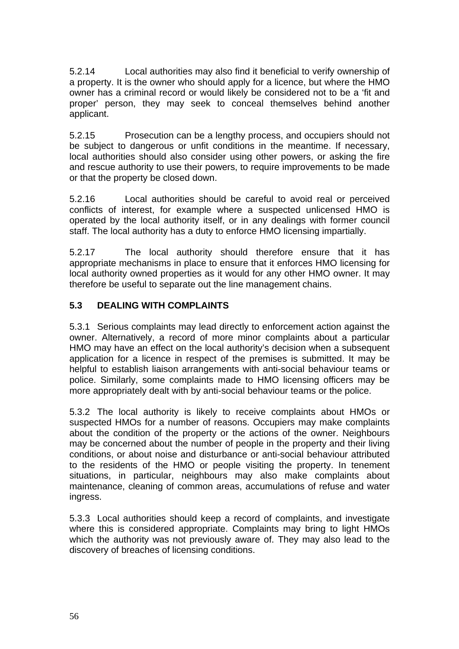5.2.14 Local authorities may also find it beneficial to verify ownership of a property. It is the owner who should apply for a licence, but where the HMO owner has a criminal record or would likely be considered not to be a 'fit and proper' person, they may seek to conceal themselves behind another applicant.

5.2.15 Prosecution can be a lengthy process, and occupiers should not be subject to dangerous or unfit conditions in the meantime. If necessary, local authorities should also consider using other powers, or asking the fire and rescue authority to use their powers, to require improvements to be made or that the property be closed down.

5.2.16 Local authorities should be careful to avoid real or perceived conflicts of interest, for example where a suspected unlicensed HMO is operated by the local authority itself, or in any dealings with former council staff. The local authority has a duty to enforce HMO licensing impartially.

5.2.17 The local authority should therefore ensure that it has appropriate mechanisms in place to ensure that it enforces HMO licensing for local authority owned properties as it would for any other HMO owner. It may therefore be useful to separate out the line management chains.

# **5.3 DEALING WITH COMPLAINTS**

5.3.1 Serious complaints may lead directly to enforcement action against the owner. Alternatively, a record of more minor complaints about a particular HMO may have an effect on the local authority's decision when a subsequent application for a licence in respect of the premises is submitted. It may be helpful to establish liaison arrangements with anti-social behaviour teams or police. Similarly, some complaints made to HMO licensing officers may be more appropriately dealt with by anti-social behaviour teams or the police.

5.3.2 The local authority is likely to receive complaints about HMOs or suspected HMOs for a number of reasons. Occupiers may make complaints about the condition of the property or the actions of the owner. Neighbours may be concerned about the number of people in the property and their living conditions, or about noise and disturbance or anti-social behaviour attributed to the residents of the HMO or people visiting the property. In tenement situations, in particular, neighbours may also make complaints about maintenance, cleaning of common areas, accumulations of refuse and water ingress.

5.3.3 Local authorities should keep a record of complaints, and investigate where this is considered appropriate. Complaints may bring to light HMOs which the authority was not previously aware of. They may also lead to the discovery of breaches of licensing conditions.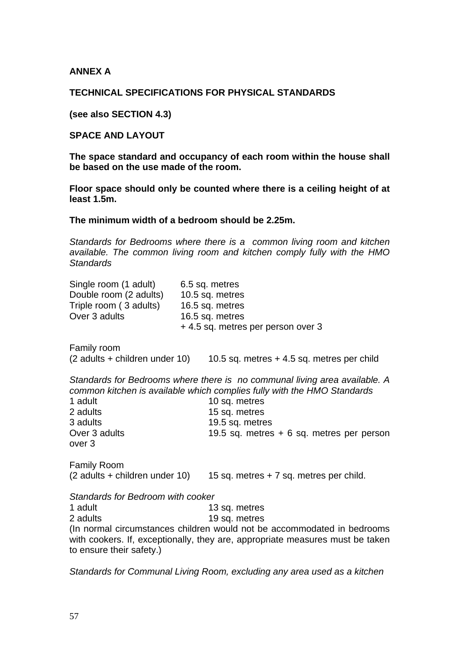**ANNEX A** 

#### **TECHNICAL SPECIFICATIONS FOR PHYSICAL STANDARDS**

**(see also SECTION 4.3)** 

**SPACE AND LAYOUT** 

**The space standard and occupancy of each room within the house shall be based on the use made of the room.** 

**Floor space should only be counted where there is a ceiling height of at least 1.5m.** 

**The minimum width of a bedroom should be 2.25m.** 

*Standards for Bedrooms where there is a common living room and kitchen available. The common living room and kitchen comply fully with the HMO Standards* 

| Single room (1 adult)<br>Double room (2 adults)<br>Triple room (3 adults)<br>Over 3 adults | 6.5 sq. metres<br>10.5 sq. metres<br>16.5 sq. metres<br>16.5 sq. metres<br>+ 4.5 sq. metres per person over 3                                                                                                                                           |
|--------------------------------------------------------------------------------------------|---------------------------------------------------------------------------------------------------------------------------------------------------------------------------------------------------------------------------------------------------------|
| <b>Family room</b><br>(2 adults + children under 10)                                       | 10.5 sq. metres $+4.5$ sq. metres per child                                                                                                                                                                                                             |
| 1 adult<br>2 adults<br>3 adults<br>Over 3 adults<br>over 3                                 | Standards for Bedrooms where there is no communal living area available. A<br>common kitchen is available which complies fully with the HMO Standards<br>10 sq. metres<br>15 sq. metres<br>19.5 sq. metres<br>19.5 sq. metres + 6 sq. metres per person |
| <b>Family Room</b><br>(2 adults + children under 10)                                       | 15 sq. metres $+7$ sq. metres per child.                                                                                                                                                                                                                |
| Standards for Bedroom with cooker                                                          |                                                                                                                                                                                                                                                         |
| 1 adult                                                                                    | 13 sq. metres                                                                                                                                                                                                                                           |
| 2 adults                                                                                   | 19 sq. metres                                                                                                                                                                                                                                           |
| to ensure their safety.)                                                                   | (In normal circumstances children would not be accommodated in bedrooms<br>with cookers. If, exceptionally, they are, appropriate measures must be taken                                                                                                |

*Standards for Communal Living Room, excluding any area used as a kitchen*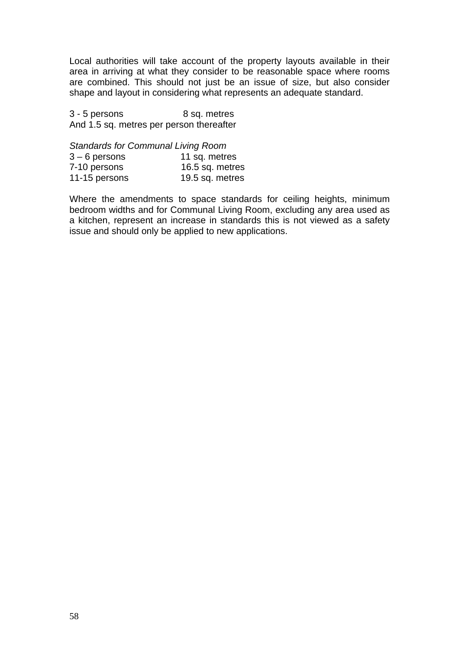Local authorities will take account of the property layouts available in their area in arriving at what they consider to be reasonable space where rooms are combined. This should not just be an issue of size, but also consider shape and layout in considering what represents an adequate standard.

3 - 5 persons 8 sq. metres And 1.5 sq. metres per person thereafter

*Standards for Communal Living Room* 

| $3 - 6$ persons | 11 sq. metres   |
|-----------------|-----------------|
| 7-10 persons    | 16.5 sq. metres |
| 11-15 persons   | 19.5 sq. metres |

Where the amendments to space standards for ceiling heights, minimum bedroom widths and for Communal Living Room, excluding any area used as a kitchen, represent an increase in standards this is not viewed as a safety issue and should only be applied to new applications.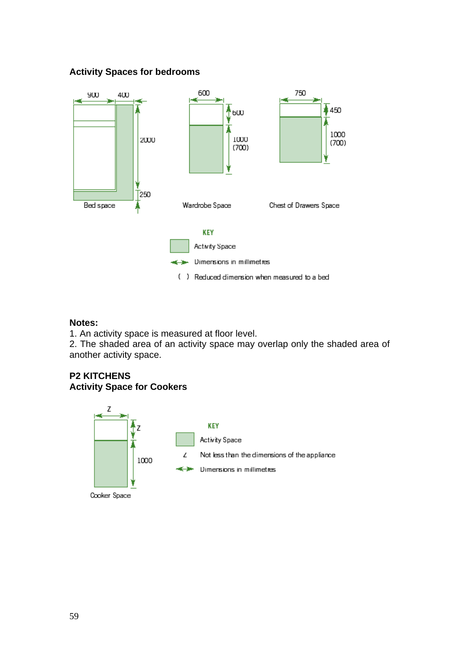### **Activity Spaces for bedrooms**



#### **Notes:**

1. An activity space is measured at floor level.

2. The shaded area of an activity space may overlap only the shaded area of another activity space.

# **P2 KITCHENS Activity Space for Cookers**



Cooker Space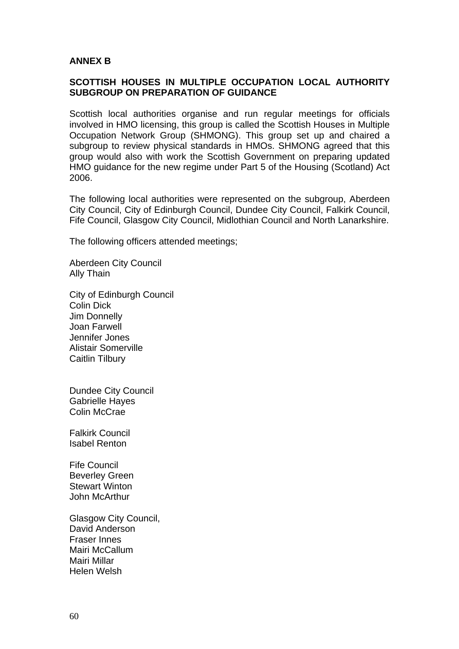#### **ANNEX B**

#### **SCOTTISH HOUSES IN MULTIPLE OCCUPATION LOCAL AUTHORITY SUBGROUP ON PREPARATION OF GUIDANCE**

Scottish local authorities organise and run regular meetings for officials involved in HMO licensing, this group is called the Scottish Houses in Multiple Occupation Network Group (SHMONG). This group set up and chaired a subgroup to review physical standards in HMOs. SHMONG agreed that this group would also with work the Scottish Government on preparing updated HMO guidance for the new regime under Part 5 of the Housing (Scotland) Act 2006.

The following local authorities were represented on the subgroup, Aberdeen City Council, City of Edinburgh Council, Dundee City Council, Falkirk Council, Fife Council, Glasgow City Council, Midlothian Council and North Lanarkshire.

The following officers attended meetings;

Aberdeen City Council Ally Thain

City of Edinburgh Council Colin Dick Jim Donnelly Joan Farwell Jennifer Jones Alistair Somerville Caitlin Tilbury

Dundee City Council Gabrielle Hayes Colin McCrae

Falkirk Council Isabel Renton

Fife Council Beverley Green Stewart Winton John McArthur

Glasgow City Council, David Anderson Fraser Innes Mairi McCallum Mairi Millar Helen Welsh